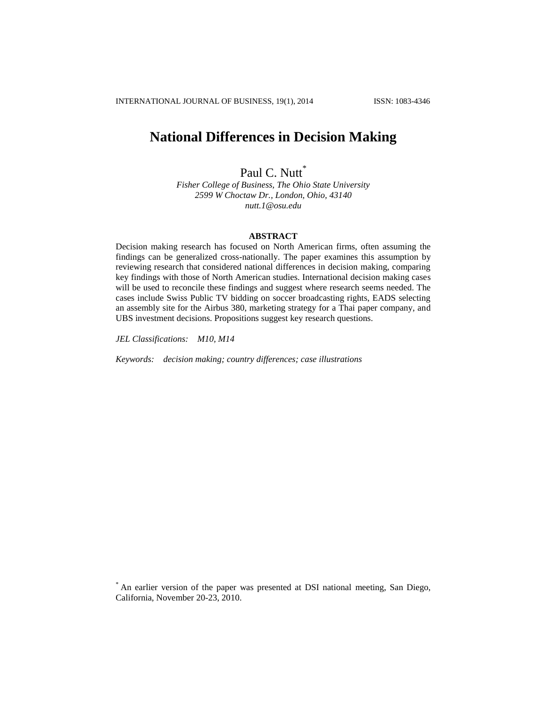# **National Differences in Decision Making**

## Paul C. Nutt<sup>\*</sup>

*Fisher College of Business, The Ohio State University 2599 W Choctaw Dr., London, Ohio, 43140 nutt.1@osu.edu*

#### **ABSTRACT**

Decision making research has focused on North American firms, often assuming the findings can be generalized cross-nationally. The paper examines this assumption by reviewing research that considered national differences in decision making, comparing key findings with those of North American studies. International decision making cases will be used to reconcile these findings and suggest where research seems needed. The cases include Swiss Public TV bidding on soccer broadcasting rights, EADS selecting an assembly site for the Airbus 380, marketing strategy for a Thai paper company, and UBS investment decisions. Propositions suggest key research questions.

*JEL Classifications: M10, M14*

*Keywords: decision making; country differences; case illustrations* 

\* An earlier version of the paper was presented at DSI national meeting, San Diego, California, November 20-23, 2010.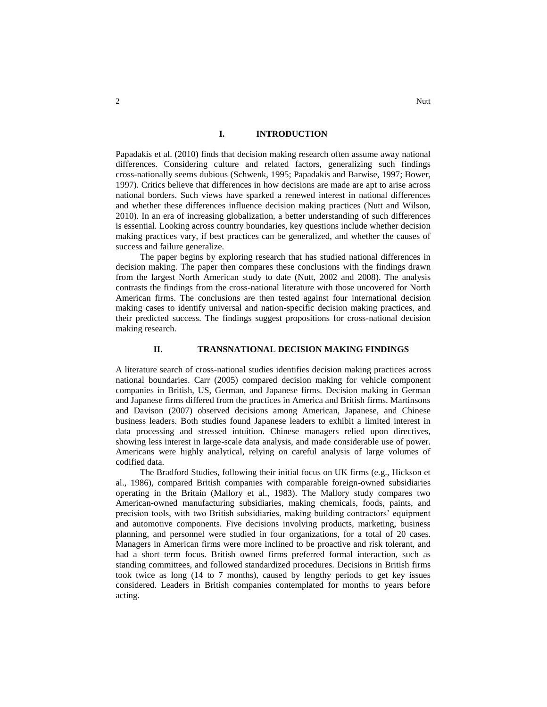#### **I. INTRODUCTION**

Papadakis et al. (2010) finds that decision making research often assume away national differences. Considering culture and related factors, generalizing such findings cross-nationally seems dubious (Schwenk, 1995; Papadakis and Barwise, 1997; Bower, 1997). Critics believe that differences in how decisions are made are apt to arise across national borders. Such views have sparked a renewed interest in national differences and whether these differences influence decision making practices (Nutt and Wilson, 2010). In an era of increasing globalization, a better understanding of such differences is essential. Looking across country boundaries, key questions include whether decision making practices vary, if best practices can be generalized, and whether the causes of success and failure generalize.

The paper begins by exploring research that has studied national differences in decision making. The paper then compares these conclusions with the findings drawn from the largest North American study to date (Nutt, 2002 and 2008). The analysis contrasts the findings from the cross-national literature with those uncovered for North American firms. The conclusions are then tested against four international decision making cases to identify universal and nation-specific decision making practices, and their predicted success. The findings suggest propositions for cross-national decision making research.

#### **II. TRANSNATIONAL DECISION MAKING FINDINGS**

A literature search of cross-national studies identifies decision making practices across national boundaries. Carr (2005) compared decision making for vehicle component companies in British, US, German, and Japanese firms. Decision making in German and Japanese firms differed from the practices in America and British firms. Martinsons and Davison (2007) observed decisions among American, Japanese, and Chinese business leaders. Both studies found Japanese leaders to exhibit a limited interest in data processing and stressed intuition. Chinese managers relied upon directives, showing less interest in large-scale data analysis, and made considerable use of power. Americans were highly analytical, relying on careful analysis of large volumes of codified data.

The Bradford Studies, following their initial focus on UK firms (e.g., Hickson et al., 1986), compared British companies with comparable foreign-owned subsidiaries operating in the Britain (Mallory et al., 1983). The Mallory study compares two American-owned manufacturing subsidiaries, making chemicals, foods, paints, and precision tools, with two British subsidiaries, making building contractors' equipment and automotive components. Five decisions involving products, marketing, business planning, and personnel were studied in four organizations, for a total of 20 cases. Managers in American firms were more inclined to be proactive and risk tolerant, and had a short term focus. British owned firms preferred formal interaction, such as standing committees, and followed standardized procedures. Decisions in British firms took twice as long (14 to 7 months), caused by lengthy periods to get key issues considered. Leaders in British companies contemplated for months to years before acting.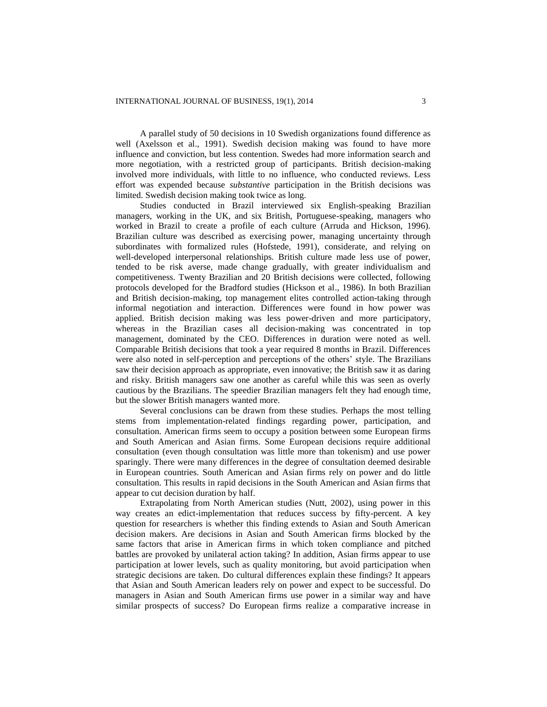A parallel study of 50 decisions in 10 Swedish organizations found difference as well (Axelsson et al., 1991). Swedish decision making was found to have more influence and conviction, but less contention. Swedes had more information search and more negotiation, with a restricted group of participants. British decision-making involved more individuals, with little to no influence, who conducted reviews. Less effort was expended because *substantive* participation in the British decisions was limited. Swedish decision making took twice as long.

Studies conducted in Brazil interviewed six English-speaking Brazilian managers, working in the UK, and six British, Portuguese-speaking, managers who worked in Brazil to create a profile of each culture (Arruda and Hickson, 1996). Brazilian culture was described as exercising power, managing uncertainty through subordinates with formalized rules (Hofstede, 1991), considerate, and relying on well-developed interpersonal relationships. British culture made less use of power, tended to be risk averse, made change gradually, with greater individualism and competitiveness. Twenty Brazilian and 20 British decisions were collected, following protocols developed for the Bradford studies (Hickson et al., 1986). In both Brazilian and British decision-making, top management elites controlled action-taking through informal negotiation and interaction. Differences were found in how power was applied. British decision making was less power-driven and more participatory, whereas in the Brazilian cases all decision-making was concentrated in top management, dominated by the CEO. Differences in duration were noted as well. Comparable British decisions that took a year required 8 months in Brazil. Differences were also noted in self-perception and perceptions of the others' style. The Brazilians saw their decision approach as appropriate, even innovative; the British saw it as daring and risky. British managers saw one another as careful while this was seen as overly cautious by the Brazilians. The speedier Brazilian managers felt they had enough time, but the slower British managers wanted more.

Several conclusions can be drawn from these studies. Perhaps the most telling stems from implementation-related findings regarding power, participation, and consultation. American firms seem to occupy a position between some European firms and South American and Asian firms. Some European decisions require additional consultation (even though consultation was little more than tokenism) and use power sparingly. There were many differences in the degree of consultation deemed desirable in European countries. South American and Asian firms rely on power and do little consultation. This results in rapid decisions in the South American and Asian firms that appear to cut decision duration by half.

Extrapolating from North American studies (Nutt, 2002), using power in this way creates an edict-implementation that reduces success by fifty-percent. A key question for researchers is whether this finding extends to Asian and South American decision makers. Are decisions in Asian and South American firms blocked by the same factors that arise in American firms in which token compliance and pitched battles are provoked by unilateral action taking? In addition, Asian firms appear to use participation at lower levels, such as quality monitoring, but avoid participation when strategic decisions are taken. Do cultural differences explain these findings? It appears that Asian and South American leaders rely on power and expect to be successful. Do managers in Asian and South American firms use power in a similar way and have similar prospects of success? Do European firms realize a comparative increase in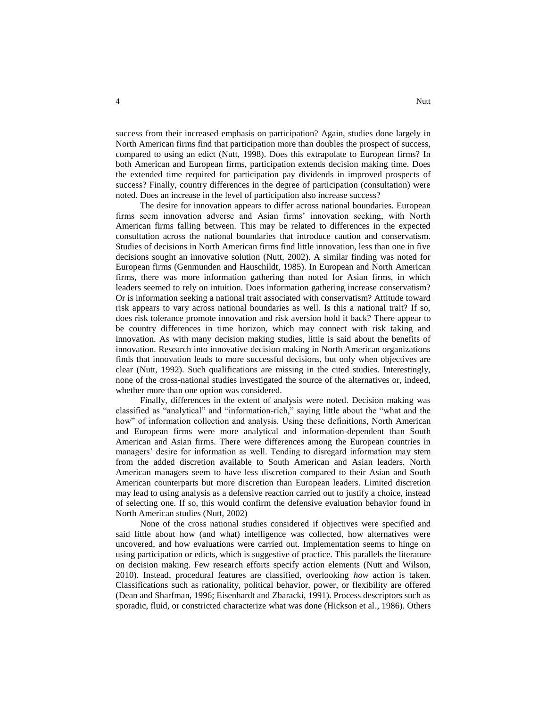success from their increased emphasis on participation? Again, studies done largely in North American firms find that participation more than doubles the prospect of success, compared to using an edict (Nutt, 1998). Does this extrapolate to European firms? In both American and European firms, participation extends decision making time. Does the extended time required for participation pay dividends in improved prospects of success? Finally, country differences in the degree of participation (consultation) were noted. Does an increase in the level of participation also increase success?

The desire for innovation appears to differ across national boundaries. European firms seem innovation adverse and Asian firms' innovation seeking, with North American firms falling between. This may be related to differences in the expected consultation across the national boundaries that introduce caution and conservatism. Studies of decisions in North American firms find little innovation, less than one in five decisions sought an innovative solution (Nutt, 2002). A similar finding was noted for European firms (Genmunden and Hauschildt, 1985). In European and North American firms, there was more information gathering than noted for Asian firms, in which leaders seemed to rely on intuition. Does information gathering increase conservatism? Or is information seeking a national trait associated with conservatism? Attitude toward risk appears to vary across national boundaries as well. Is this a national trait? If so, does risk tolerance promote innovation and risk aversion hold it back? There appear to be country differences in time horizon, which may connect with risk taking and innovation. As with many decision making studies, little is said about the benefits of innovation. Research into innovative decision making in North American organizations finds that innovation leads to more successful decisions, but only when objectives are clear (Nutt, 1992). Such qualifications are missing in the cited studies. Interestingly, none of the cross-national studies investigated the source of the alternatives or, indeed, whether more than one option was considered.

Finally, differences in the extent of analysis were noted. Decision making was classified as "analytical" and "information-rich," saying little about the "what and the how" of information collection and analysis. Using these definitions, North American and European firms were more analytical and information-dependent than South American and Asian firms. There were differences among the European countries in managers' desire for information as well. Tending to disregard information may stem from the added discretion available to South American and Asian leaders. North American managers seem to have less discretion compared to their Asian and South American counterparts but more discretion than European leaders. Limited discretion may lead to using analysis as a defensive reaction carried out to justify a choice, instead of selecting one. If so, this would confirm the defensive evaluation behavior found in North American studies (Nutt, 2002)

None of the cross national studies considered if objectives were specified and said little about how (and what) intelligence was collected, how alternatives were uncovered, and how evaluations were carried out. Implementation seems to hinge on using participation or edicts, which is suggestive of practice. This parallels the literature on decision making. Few research efforts specify action elements (Nutt and Wilson, 2010). Instead, procedural features are classified, overlooking *how* action is taken. Classifications such as rationality, political behavior, power, or flexibility are offered (Dean and Sharfman, 1996; Eisenhardt and Zbaracki, 1991). Process descriptors such as sporadic, fluid, or constricted characterize what was done (Hickson et al., 1986). Others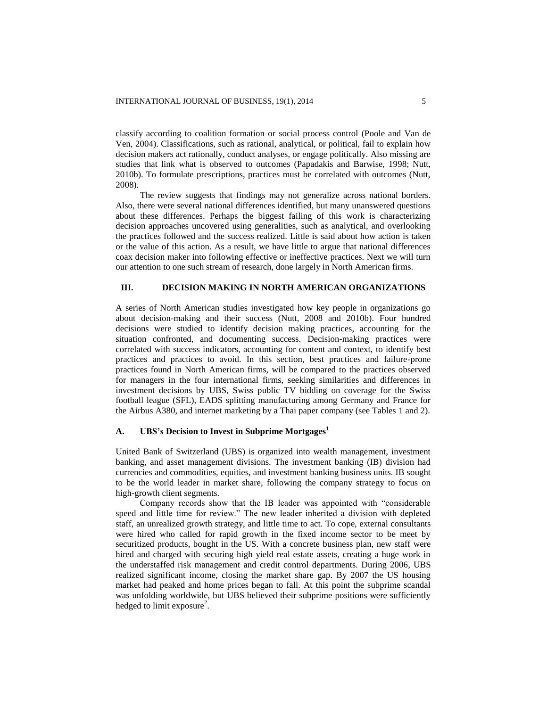classify according to coalition formation or social process control (Poole and Van de Ven, 2004). Classifications, such as rational, analytical, or political, fail to explain how decision makers act rationally, conduct analyses, or engage politically. Also missing are studies that link what is observed to outcomes (Papadakis and Barwise, 1998; Nutt, 2010b). To formulate prescriptions, practices must be correlated with outcomes (Nutt, 2008).

The review suggests that findings may not generalize across national borders. Also, there were several national differences identified, but many unanswered questions about these differences. Perhaps the biggest failing of this work is characterizing decision approaches uncovered using generalities, such as analytical, and overlooking the practices followed and the success realized. Little is said about how action is taken or the value of this action. As a result, we have little to argue that national differences coax decision maker into following effective or ineffective practices. Next we will turn our attention to one such stream of research, done largely in North American firms.

#### **III. DECISION MAKING IN NORTH AMERICAN ORGANIZATIONS**

A series of North American studies investigated how key people in organizations go about decision-making and their success (Nutt, 2008 and 2010b). Four hundred decisions were studied to identify decision making practices, accounting for the situation confronted, and documenting success. Decision-making practices were correlated with success indicators, accounting for content and context, to identify best practices and practices to avoid. In this section, best practices and failure-prone practices found in North American firms, will be compared to the practices observed for managers in the four international firms, seeking similarities and differences in investment decisions by UBS, Swiss public TV bidding on coverage for the Swiss football league (SFL), EADS splitting manufacturing among Germany and France for the Airbus A380, and internet marketing by a Thai paper company (see Tables 1 and 2).

#### **A. UBS's Decision to Invest in Subprime Mortgages<sup>1</sup>**

United Bank of Switzerland (UBS) is organized into wealth management, investment banking, and asset management divisions. The investment banking (IB) division had currencies and commodities, equities, and investment banking business units. IB sought to be the world leader in market share, following the company strategy to focus on high-growth client segments.

Company records show that the IB leader was appointed with "considerable speed and little time for review." The new leader inherited a division with depleted staff, an unrealized growth strategy, and little time to act. To cope, external consultants were hired who called for rapid growth in the fixed income sector to be meet by securitized products, bought in the US. With a concrete business plan, new staff were hired and charged with securing high yield real estate assets, creating a huge work in the understaffed risk management and credit control departments. During 2006, UBS realized significant income, closing the market share gap. By 2007 the US housing market had peaked and home prices began to fall. At this point the subprime scandal was unfolding worldwide, but UBS believed their subprime positions were sufficiently hedged to limit exposure<sup>2</sup>.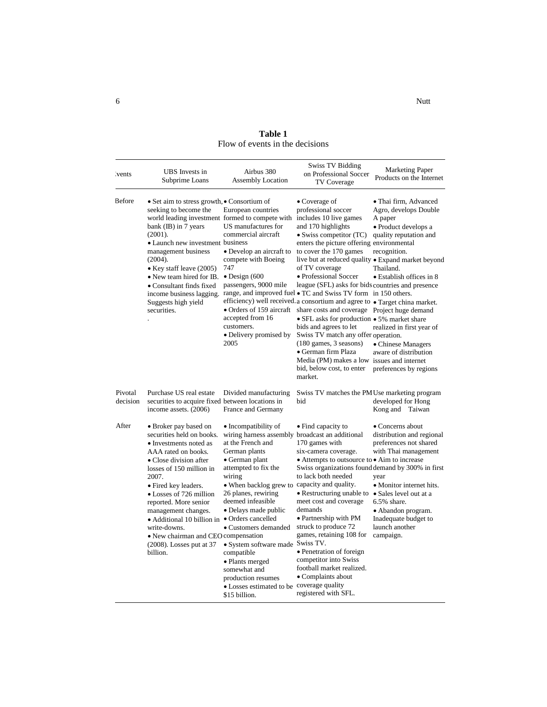| vents               | UBS Invests in<br>Subprime Loans                                                                                                                                                                                                                                                                                                                                                                                         | Airbus 380<br><b>Assembly Location</b>                                                                                                                                                                                                                                                                                                                                                                                                                                                 | <b>Swiss TV Bidding</b><br>on Professional Soccer<br>TV Coverage                                                                                                                                                                                                                                                                                                                                                                                                                                                                                                                                                                                                                                                                                    | <b>Marketing Paper</b><br>Products on the Internet                                                                                                                                                                                                                                                                       |
|---------------------|--------------------------------------------------------------------------------------------------------------------------------------------------------------------------------------------------------------------------------------------------------------------------------------------------------------------------------------------------------------------------------------------------------------------------|----------------------------------------------------------------------------------------------------------------------------------------------------------------------------------------------------------------------------------------------------------------------------------------------------------------------------------------------------------------------------------------------------------------------------------------------------------------------------------------|-----------------------------------------------------------------------------------------------------------------------------------------------------------------------------------------------------------------------------------------------------------------------------------------------------------------------------------------------------------------------------------------------------------------------------------------------------------------------------------------------------------------------------------------------------------------------------------------------------------------------------------------------------------------------------------------------------------------------------------------------------|--------------------------------------------------------------------------------------------------------------------------------------------------------------------------------------------------------------------------------------------------------------------------------------------------------------------------|
| Before              | • Set aim to stress growth, • Consortium of<br>seeking to become the<br>world leading investment formed to compete with includes 10 live games<br>bank (IB) in 7 years<br>(2001).<br>• Launch new investment business<br>management business<br>(2004).<br>$\bullet$ Key staff leave (2005)<br>• New team hired for IB.<br>• Consultant finds fixed<br>income business lagging.<br>Suggests high yield<br>securities.    | European countries<br>US manufactures for<br>commercial aircraft<br>• Develop an aircraft to<br>compete with Boeing<br>747<br>$\bullet$ Design (600<br>passengers, 9000 mile<br>• Orders of 159 aircraft<br>accepted from 16<br>customers.<br>• Delivery promised by<br>2005                                                                                                                                                                                                           | • Coverage of<br>professional soccer<br>and 170 highlights<br>• Swiss competitor (TC)<br>enters the picture offering environmental<br>to cover the 170 games<br>live but at reduced quality • Expand market beyond<br>of TV coverage<br>• Professional Soccer<br>league (SFL) asks for bids countries and presence<br>range, and improved fuel • TC and Swiss TV form in 150 others.<br>efficiency) well received a consortium and agree to • Target china market.<br>share costs and coverage<br>• SFL asks for production • 5% market share<br>bids and agrees to let<br>Swiss TV match any offer operation.<br>$(180 \text{ games}, 3 \text{ seasons})$<br>• German firm Plaza<br>Media (PM) makes a low<br>bid, below cost, to enter<br>market. | • Thai firm, Advanced<br>Agro, develops Double<br>A paper<br>· Product develops a<br>quality reputation and<br>recognition.<br>Thailand.<br>• Establish offices in 8<br>Project huge demand<br>realized in first year of<br>• Chinese Managers<br>aware of distribution<br>issues and internet<br>preferences by regions |
| Pivotal<br>decision | Purchase US real estate<br>securities to acquire fixed between locations in<br>income assets. (2006)                                                                                                                                                                                                                                                                                                                     | Divided manufacturing<br>France and Germany                                                                                                                                                                                                                                                                                                                                                                                                                                            | Swiss TV matches the PM Use marketing program<br>bid                                                                                                                                                                                                                                                                                                                                                                                                                                                                                                                                                                                                                                                                                                | developed for Hong<br>Kong and Taiwan                                                                                                                                                                                                                                                                                    |
| After               | • Broker pay based on<br>securities held on books.<br>• Investments noted as<br>AAA rated on books.<br>• Close division after<br>losses of 150 million in<br>2007.<br>• Fired key leaders.<br>• Losses of 726 million<br>reported. More senior<br>management changes.<br>• Additional 10 billion in • Orders cancelled<br>write-downs.<br>• New chairman and CEO compensation<br>$(2008)$ . Losses put at 37<br>billion. | • Incompatibility of<br>wiring harness assembly broadcast an additional<br>at the French and<br>German plants<br>• German plant<br>attempted to fix the<br>wiring<br>• When backlog grew to capacity and quality.<br>26 planes, rewiring<br>deemed infeasible<br>• Delays made public<br>• Customers demanded<br>· System software made Swiss TV.<br>compatible<br>• Plants merged<br>somewhat and<br>production resumes<br>• Losses estimated to be coverage quality<br>\$15 billion. | • Find capacity to<br>170 games with<br>six-camera coverage.<br>• Attempts to outsource to • Aim to increase<br>Swiss organizations found demand by 300% in first<br>to lack both needed<br>• Restructuring unable to<br>meet cost and coverage<br>demands<br>• Partnership with PM<br>struck to produce 72<br>games, retaining 108 for<br>• Penetration of foreign<br>competitor into Swiss<br>football market realized.<br>• Complaints about<br>registered with SFL.                                                                                                                                                                                                                                                                             | • Concerns about<br>distribution and regional<br>preferences not shared<br>with Thai management<br>year<br>• Monitor internet hits.<br>• Sales level out at a<br>$6.5\%$ share.<br>• Abandon program.<br>Inadequate budget to<br>launch another<br>campaign.                                                             |

**Table 1** Flow of events in the decisions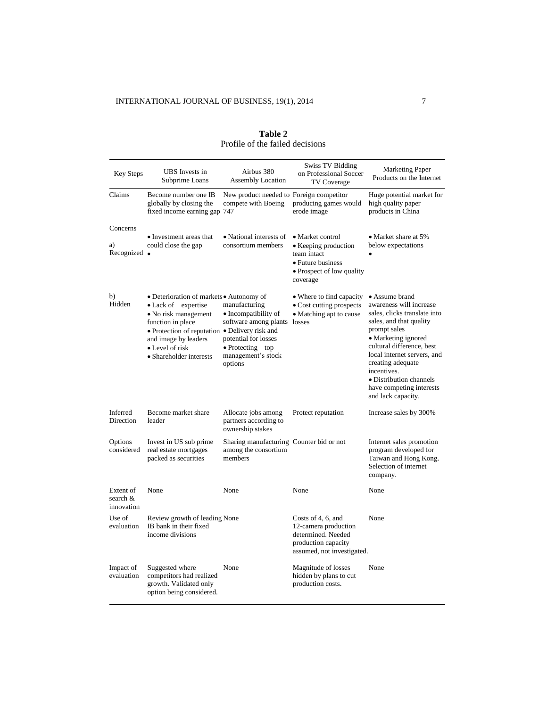| <b>Key Steps</b>                    | UBS Invests in<br>Subprime Loans                                                                                                                                                                                                     | Airbus 380<br><b>Assembly Location</b>                                                                                                      | Swiss TV Bidding<br>on Professional Soccer<br>TV Coverage                                                                | <b>Marketing Paper</b><br>Products on the Internet                                                                                                                                                                                                                                                                       |
|-------------------------------------|--------------------------------------------------------------------------------------------------------------------------------------------------------------------------------------------------------------------------------------|---------------------------------------------------------------------------------------------------------------------------------------------|--------------------------------------------------------------------------------------------------------------------------|--------------------------------------------------------------------------------------------------------------------------------------------------------------------------------------------------------------------------------------------------------------------------------------------------------------------------|
| Claims                              | Become number one IB<br>globally by closing the<br>fixed income earning gap 747                                                                                                                                                      | New product needed to Foreign competitor<br>compete with Boeing                                                                             | producing games would<br>erode image                                                                                     | Huge potential market for<br>high quality paper<br>products in China                                                                                                                                                                                                                                                     |
| Concerns                            |                                                                                                                                                                                                                                      |                                                                                                                                             |                                                                                                                          |                                                                                                                                                                                                                                                                                                                          |
| a)<br>Recognized $\bullet$          | • Investment areas that<br>could close the gap                                                                                                                                                                                       | • National interests of<br>consortium members                                                                                               | • Market control<br>• Keeping production<br>team intact<br>• Future business<br>• Prospect of low quality<br>coverage    | • Market share at 5%<br>below expectations                                                                                                                                                                                                                                                                               |
| b)<br>Hidden                        | • Deterioration of markets • Autonomy of<br>• Lack of expertise<br>• No risk management<br>function in place<br>• Protection of reputation • Delivery risk and<br>and image by leaders<br>• Level of risk<br>• Shareholder interests | manufacturing<br>• Incompatibility of<br>software among plants<br>potential for losses<br>• Protecting top<br>management's stock<br>options | • Where to find capacity<br>• Cost cutting prospects<br>• Matching apt to cause<br>losses                                | • Assume brand<br>awareness will increase<br>sales, clicks translate into<br>sales, and that quality<br>prompt sales<br>• Marketing ignored<br>cultural difference, best<br>local internet servers, and<br>creating adequate<br>incentives.<br>· Distribution channels<br>have competing interests<br>and lack capacity. |
| Inferred<br>Direction               | Become market share<br>leader                                                                                                                                                                                                        | Allocate jobs among<br>partners according to<br>ownership stakes                                                                            | Protect reputation                                                                                                       | Increase sales by 300%                                                                                                                                                                                                                                                                                                   |
| Options<br>considered               | Invest in US sub prime.<br>real estate mortgages<br>packed as securities                                                                                                                                                             | Sharing manufacturing Counter bid or not<br>among the consortium<br>members                                                                 |                                                                                                                          | Internet sales promotion<br>program developed for<br>Taiwan and Hong Kong.<br>Selection of internet<br>company.                                                                                                                                                                                                          |
| Extent of<br>search &<br>innovation | None                                                                                                                                                                                                                                 | None                                                                                                                                        | None                                                                                                                     | None                                                                                                                                                                                                                                                                                                                     |
| Use of<br>evaluation                | Review growth of leading None<br>IB bank in their fixed<br>income divisions                                                                                                                                                          |                                                                                                                                             | Costs of $4, 6$ , and<br>12-camera production<br>determined. Needed<br>production capacity<br>assumed, not investigated. | None                                                                                                                                                                                                                                                                                                                     |
| Impact of<br>evaluation             | Suggested where<br>competitors had realized<br>growth. Validated only<br>option being considered.                                                                                                                                    | None                                                                                                                                        | Magnitude of losses<br>hidden by plans to cut<br>production costs.                                                       | None                                                                                                                                                                                                                                                                                                                     |

### **Table 2** Profile of the failed decisions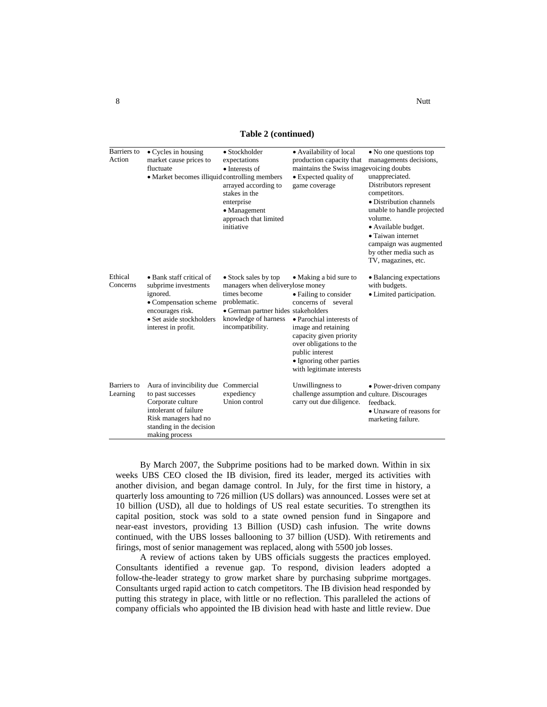**Table 2 (continued)**

| Barriers to<br>Action   | $\bullet$ Cycles in housing<br>market cause prices to<br>fluctuate                                                                                                            | • Stockholder<br>expectations<br>• Interests of                                                                                                                             | • Availability of local<br>production capacity that<br>maintains the Swiss imagevoicing doubts                                                                                                                                                              | • No one questions top<br>managements decisions,                                                                                                                                                                                                    |
|-------------------------|-------------------------------------------------------------------------------------------------------------------------------------------------------------------------------|-----------------------------------------------------------------------------------------------------------------------------------------------------------------------------|-------------------------------------------------------------------------------------------------------------------------------------------------------------------------------------------------------------------------------------------------------------|-----------------------------------------------------------------------------------------------------------------------------------------------------------------------------------------------------------------------------------------------------|
|                         | • Market becomes illiquid controlling members                                                                                                                                 | arrayed according to<br>stakes in the<br>enterprise<br>• Management<br>approach that limited<br>initiative                                                                  | • Expected quality of<br>game coverage                                                                                                                                                                                                                      | unappreciated.<br>Distributors represent<br>competitors.<br>• Distribution channels<br>unable to handle projected<br>volume.<br>• Available budget.<br>• Taiwan internet<br>campaign was augmented<br>by other media such as<br>TV, magazines, etc. |
| Ethical<br>Concerns     | • Bank staff critical of<br>subprime investments<br>ignored.<br>• Compensation scheme<br>encourages risk.<br>· Set aside stockholders<br>interest in profit.                  | • Stock sales by top<br>managers when deliverylose money<br>times become<br>problematic.<br>• German partner hides stakeholders<br>knowledge of harness<br>incompatibility. | • Making a bid sure to<br>· Failing to consider<br>concerns of several<br>• Parochial interests of<br>image and retaining<br>capacity given priority<br>over obligations to the<br>public interest<br>• Ignoring other parties<br>with legitimate interests | • Balancing expectations<br>with budgets.<br>• Limited participation.                                                                                                                                                                               |
| Barriers to<br>Learning | Aura of invincibility due Commercial<br>to past successes<br>Corporate culture<br>intolerant of failure<br>Risk managers had no<br>standing in the decision<br>making process | expediency<br>Union control                                                                                                                                                 | Unwillingness to<br>challenge assumption and culture. Discourages<br>carry out due diligence.                                                                                                                                                               | • Power-driven company<br>feedback.<br>• Unaware of reasons for<br>marketing failure.                                                                                                                                                               |

By March 2007, the Subprime positions had to be marked down. Within in six weeks UBS CEO closed the IB division, fired its leader, merged its activities with another division, and began damage control. In July, for the first time in history, a quarterly loss amounting to 726 million (US dollars) was announced. Losses were set at 10 billion (USD), all due to holdings of US real estate securities. To strengthen its capital position, stock was sold to a state owned pension fund in Singapore and near-east investors, providing 13 Billion (USD) cash infusion. The write downs continued, with the UBS losses ballooning to 37 billion (USD). With retirements and firings, most of senior management was replaced, along with 5500 job losses.

A review of actions taken by UBS officials suggests the practices employed. Consultants identified a revenue gap. To respond, division leaders adopted a follow-the-leader strategy to grow market share by purchasing subprime mortgages. Consultants urged rapid action to catch competitors. The IB division head responded by putting this strategy in place, with little or no reflection. This paralleled the actions of company officials who appointed the IB division head with haste and little review. Due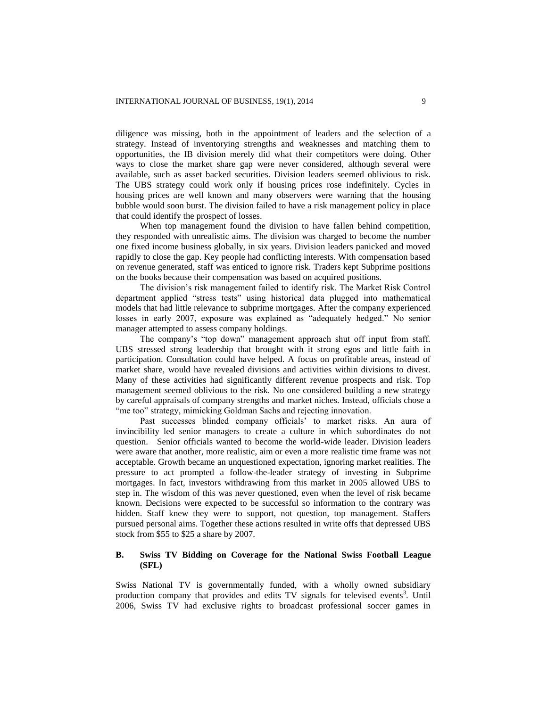diligence was missing, both in the appointment of leaders and the selection of a strategy. Instead of inventorying strengths and weaknesses and matching them to opportunities, the IB division merely did what their competitors were doing. Other ways to close the market share gap were never considered, although several were available, such as asset backed securities. Division leaders seemed oblivious to risk. The UBS strategy could work only if housing prices rose indefinitely. Cycles in housing prices are well known and many observers were warning that the housing bubble would soon burst. The division failed to have a risk management policy in place that could identify the prospect of losses.

When top management found the division to have fallen behind competition, they responded with unrealistic aims. The division was charged to become the number one fixed income business globally, in six years. Division leaders panicked and moved rapidly to close the gap. Key people had conflicting interests. With compensation based on revenue generated, staff was enticed to ignore risk. Traders kept Subprime positions on the books because their compensation was based on acquired positions.

The division's risk management failed to identify risk. The Market Risk Control department applied "stress tests" using historical data plugged into mathematical models that had little relevance to subprime mortgages. After the company experienced losses in early 2007, exposure was explained as "adequately hedged." No senior manager attempted to assess company holdings.

The company's "top down" management approach shut off input from staff. UBS stressed strong leadership that brought with it strong egos and little faith in participation. Consultation could have helped. A focus on profitable areas, instead of market share, would have revealed divisions and activities within divisions to divest. Many of these activities had significantly different revenue prospects and risk. Top management seemed oblivious to the risk. No one considered building a new strategy by careful appraisals of company strengths and market niches. Instead, officials chose a "me too" strategy, mimicking Goldman Sachs and rejecting innovation.

Past successes blinded company officials' to market risks. An aura of invincibility led senior managers to create a culture in which subordinates do not question. Senior officials wanted to become the world-wide leader. Division leaders were aware that another, more realistic, aim or even a more realistic time frame was not acceptable. Growth became an unquestioned expectation, ignoring market realities. The pressure to act prompted a follow-the-leader strategy of investing in Subprime mortgages. In fact, investors withdrawing from this market in 2005 allowed UBS to step in. The wisdom of this was never questioned, even when the level of risk became known. Decisions were expected to be successful so information to the contrary was hidden. Staff knew they were to support, not question, top management. Staffers pursued personal aims. Together these actions resulted in write offs that depressed UBS stock from \$55 to \$25 a share by 2007.

#### **B. Swiss TV Bidding on Coverage for the National Swiss Football League (SFL)**

Swiss National TV is governmentally funded, with a wholly owned subsidiary production company that provides and edits TV signals for televised events<sup>3</sup>. Until 2006, Swiss TV had exclusive rights to broadcast professional soccer games in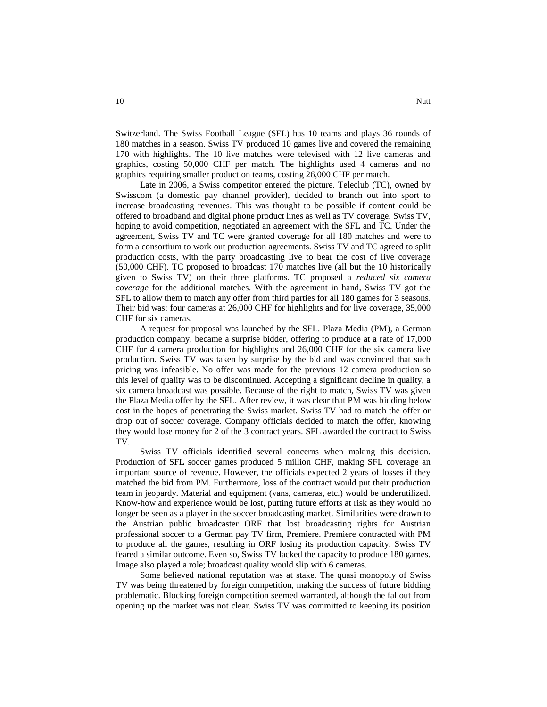Switzerland. The Swiss Football League (SFL) has 10 teams and plays 36 rounds of 180 matches in a season. Swiss TV produced 10 games live and covered the remaining 170 with highlights. The 10 live matches were televised with 12 live cameras and graphics, costing 50,000 CHF per match. The highlights used 4 cameras and no graphics requiring smaller production teams, costing 26,000 CHF per match.

Late in 2006, a Swiss competitor entered the picture. Teleclub (TC), owned by Swisscom (a domestic pay channel provider), decided to branch out into sport to increase broadcasting revenues. This was thought to be possible if content could be offered to broadband and digital phone product lines as well as TV coverage. Swiss TV, hoping to avoid competition, negotiated an agreement with the SFL and TC. Under the agreement, Swiss TV and TC were granted coverage for all 180 matches and were to form a consortium to work out production agreements. Swiss TV and TC agreed to split production costs, with the party broadcasting live to bear the cost of live coverage (50,000 CHF). TC proposed to broadcast 170 matches live (all but the 10 historically given to Swiss TV) on their three platforms. TC proposed a *reduced six camera coverage* for the additional matches. With the agreement in hand, Swiss TV got the SFL to allow them to match any offer from third parties for all 180 games for 3 seasons. Their bid was: four cameras at 26,000 CHF for highlights and for live coverage, 35,000 CHF for six cameras.

A request for proposal was launched by the SFL. Plaza Media (PM), a German production company, became a surprise bidder, offering to produce at a rate of 17,000 CHF for 4 camera production for highlights and 26,000 CHF for the six camera live production. Swiss TV was taken by surprise by the bid and was convinced that such pricing was infeasible. No offer was made for the previous 12 camera production so this level of quality was to be discontinued. Accepting a significant decline in quality, a six camera broadcast was possible. Because of the right to match, Swiss TV was given the Plaza Media offer by the SFL. After review, it was clear that PM was bidding below cost in the hopes of penetrating the Swiss market. Swiss TV had to match the offer or drop out of soccer coverage. Company officials decided to match the offer, knowing they would lose money for 2 of the 3 contract years. SFL awarded the contract to Swiss TV.

Swiss TV officials identified several concerns when making this decision. Production of SFL soccer games produced 5 million CHF, making SFL coverage an important source of revenue. However, the officials expected 2 years of losses if they matched the bid from PM. Furthermore, loss of the contract would put their production team in jeopardy. Material and equipment (vans, cameras, etc.) would be underutilized. Know-how and experience would be lost, putting future efforts at risk as they would no longer be seen as a player in the soccer broadcasting market. Similarities were drawn to the Austrian public broadcaster ORF that lost broadcasting rights for Austrian professional soccer to a German pay TV firm, Premiere. Premiere contracted with PM to produce all the games, resulting in ORF losing its production capacity. Swiss TV feared a similar outcome. Even so, Swiss TV lacked the capacity to produce 180 games. Image also played a role; broadcast quality would slip with 6 cameras.

Some believed national reputation was at stake. The quasi monopoly of Swiss TV was being threatened by foreign competition, making the success of future bidding problematic. Blocking foreign competition seemed warranted, although the fallout from opening up the market was not clear. Swiss TV was committed to keeping its position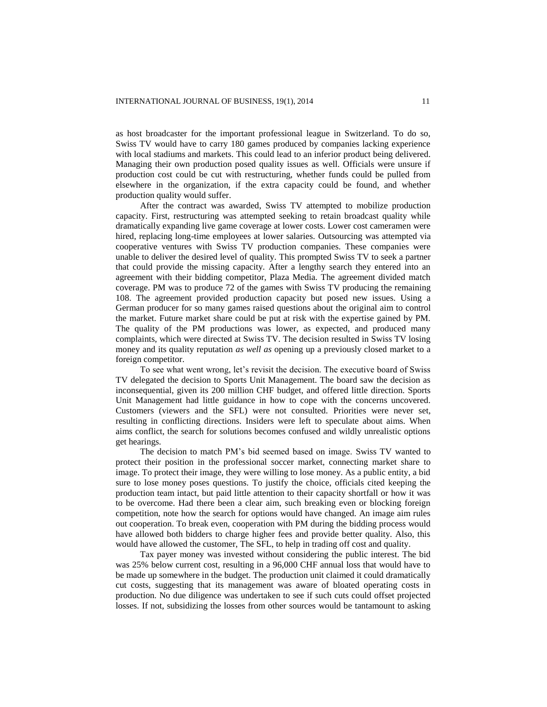as host broadcaster for the important professional league in Switzerland. To do so, Swiss TV would have to carry 180 games produced by companies lacking experience with local stadiums and markets. This could lead to an inferior product being delivered. Managing their own production posed quality issues as well. Officials were unsure if production cost could be cut with restructuring, whether funds could be pulled from elsewhere in the organization, if the extra capacity could be found, and whether production quality would suffer.

After the contract was awarded, Swiss TV attempted to mobilize production capacity. First, restructuring was attempted seeking to retain broadcast quality while dramatically expanding live game coverage at lower costs. Lower cost cameramen were hired, replacing long-time employees at lower salaries. Outsourcing was attempted via cooperative ventures with Swiss TV production companies. These companies were unable to deliver the desired level of quality. This prompted Swiss TV to seek a partner that could provide the missing capacity. After a lengthy search they entered into an agreement with their bidding competitor, Plaza Media. The agreement divided match coverage. PM was to produce 72 of the games with Swiss TV producing the remaining 108. The agreement provided production capacity but posed new issues. Using a German producer for so many games raised questions about the original aim to control the market. Future market share could be put at risk with the expertise gained by PM. The quality of the PM productions was lower, as expected, and produced many complaints, which were directed at Swiss TV. The decision resulted in Swiss TV losing money and its quality reputation *as well as* opening up a previously closed market to a foreign competitor.

To see what went wrong, let's revisit the decision. The executive board of Swiss TV delegated the decision to Sports Unit Management. The board saw the decision as inconsequential, given its 200 million CHF budget, and offered little direction. Sports Unit Management had little guidance in how to cope with the concerns uncovered. Customers (viewers and the SFL) were not consulted. Priorities were never set, resulting in conflicting directions. Insiders were left to speculate about aims. When aims conflict, the search for solutions becomes confused and wildly unrealistic options get hearings.

The decision to match PM's bid seemed based on image. Swiss TV wanted to protect their position in the professional soccer market, connecting market share to image. To protect their image, they were willing to lose money. As a public entity, a bid sure to lose money poses questions. To justify the choice, officials cited keeping the production team intact, but paid little attention to their capacity shortfall or how it was to be overcome. Had there been a clear aim, such breaking even or blocking foreign competition, note how the search for options would have changed. An image aim rules out cooperation. To break even, cooperation with PM during the bidding process would have allowed both bidders to charge higher fees and provide better quality. Also, this would have allowed the customer, The SFL, to help in trading off cost and quality.

Tax payer money was invested without considering the public interest. The bid was 25% below current cost, resulting in a 96,000 CHF annual loss that would have to be made up somewhere in the budget. The production unit claimed it could dramatically cut costs, suggesting that its management was aware of bloated operating costs in production. No due diligence was undertaken to see if such cuts could offset projected losses. If not, subsidizing the losses from other sources would be tantamount to asking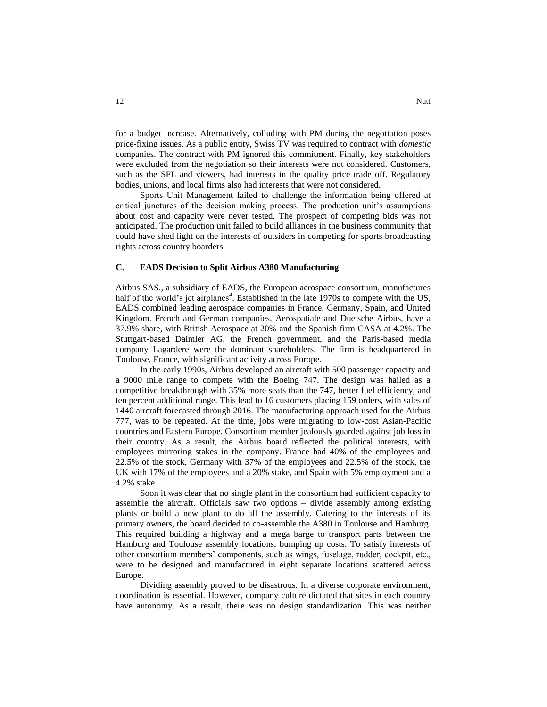for a budget increase. Alternatively, colluding with PM during the negotiation poses price-fixing issues. As a public entity, Swiss TV was required to contract with *domestic* companies. The contract with PM ignored this commitment. Finally, key stakeholders were excluded from the negotiation so their interests were not considered. Customers, such as the SFL and viewers, had interests in the quality price trade off. Regulatory bodies, unions, and local firms also had interests that were not considered.

Sports Unit Management failed to challenge the information being offered at critical junctures of the decision making process. The production unit's assumptions about cost and capacity were never tested. The prospect of competing bids was not anticipated. The production unit failed to build alliances in the business community that could have shed light on the interests of outsiders in competing for sports broadcasting rights across country boarders.

#### **C. EADS Decision to Split Airbus A380 Manufacturing**

Airbus SAS., a subsidiary of EADS, the European aerospace consortium, manufactures half of the world's jet airplanes<sup>4</sup>. Established in the late 1970s to compete with the US, EADS combined leading aerospace companies in France, Germany, Spain, and United Kingdom. French and German companies, Aerospatiale and Duetsche Airbus, have a 37.9% share, with British Aerospace at 20% and the Spanish firm CASA at 4.2%. The Stuttgart-based Daimler AG, the French government, and the Paris-based media company Lagardere were the dominant shareholders. The firm is headquartered in Toulouse, France, with significant activity across Europe.

In the early 1990s, Airbus developed an aircraft with 500 passenger capacity and a 9000 mile range to compete with the Boeing 747. The design was hailed as a competitive breakthrough with 35% more seats than the 747, better fuel efficiency, and ten percent additional range. This lead to 16 customers placing 159 orders, with sales of 1440 aircraft forecasted through 2016. The manufacturing approach used for the Airbus 777, was to be repeated. At the time, jobs were migrating to low-cost Asian-Pacific countries and Eastern Europe. Consortium member jealously guarded against job loss in their country. As a result, the Airbus board reflected the political interests, with employees mirroring stakes in the company. France had 40% of the employees and 22.5% of the stock, Germany with 37% of the employees and 22.5% of the stock, the UK with 17% of the employees and a 20% stake, and Spain with 5% employment and a 4.2% stake.

Soon it was clear that no single plant in the consortium had sufficient capacity to assemble the aircraft. Officials saw two options – divide assembly among existing plants or build a new plant to do all the assembly. Catering to the interests of its primary owners, the board decided to co-assemble the A380 in Toulouse and Hamburg. This required building a highway and a mega barge to transport parts between the Hamburg and Toulouse assembly locations, bumping up costs. To satisfy interests of other consortium members' components, such as wings, fuselage, rudder, cockpit, etc., were to be designed and manufactured in eight separate locations scattered across Europe.

Dividing assembly proved to be disastrous. In a diverse corporate environment, coordination is essential. However, company culture dictated that sites in each country have autonomy. As a result, there was no design standardization. This was neither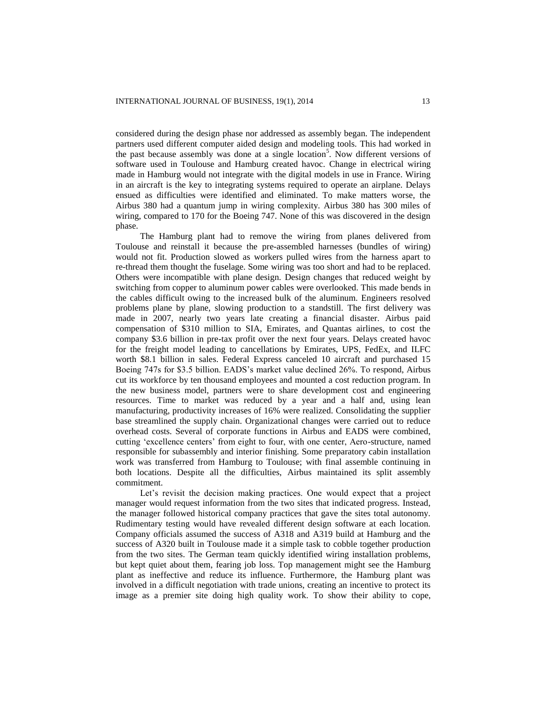considered during the design phase nor addressed as assembly began. The independent partners used different computer aided design and modeling tools. This had worked in the past because assembly was done at a single location<sup>5</sup>. Now different versions of software used in Toulouse and Hamburg created havoc. Change in electrical wiring made in Hamburg would not integrate with the digital models in use in France. Wiring in an aircraft is the key to integrating systems required to operate an airplane. Delays ensued as difficulties were identified and eliminated. To make matters worse, the Airbus 380 had a quantum jump in wiring complexity. Airbus 380 has 300 miles of wiring, compared to 170 for the Boeing 747. None of this was discovered in the design phase.

The Hamburg plant had to remove the wiring from planes delivered from Toulouse and reinstall it because the pre-assembled harnesses (bundles of wiring) would not fit. Production slowed as workers pulled wires from the harness apart to re-thread them thought the fuselage. Some wiring was too short and had to be replaced. Others were incompatible with plane design. Design changes that reduced weight by switching from copper to aluminum power cables were overlooked. This made bends in the cables difficult owing to the increased bulk of the aluminum. Engineers resolved problems plane by plane, slowing production to a standstill. The first delivery was made in 2007, nearly two years late creating a financial disaster. Airbus paid compensation of \$310 million to SIA, Emirates, and Quantas airlines, to cost the company \$3.6 billion in pre-tax profit over the next four years. Delays created havoc for the freight model leading to cancellations by Emirates, UPS, FedEx, and ILFC worth \$8.1 billion in sales. Federal Express canceled 10 aircraft and purchased 15 Boeing 747s for \$3.5 billion. EADS's market value declined 26%. To respond, Airbus cut its workforce by ten thousand employees and mounted a cost reduction program. In the new business model, partners were to share development cost and engineering resources. Time to market was reduced by a year and a half and, using lean manufacturing, productivity increases of 16% were realized. Consolidating the supplier base streamlined the supply chain. Organizational changes were carried out to reduce overhead costs. Several of corporate functions in Airbus and EADS were combined, cutting 'excellence centers' from eight to four, with one center, Aero-structure, named responsible for subassembly and interior finishing. Some preparatory cabin installation work was transferred from Hamburg to Toulouse; with final assemble continuing in both locations. Despite all the difficulties, Airbus maintained its split assembly commitment.

Let's revisit the decision making practices. One would expect that a project manager would request information from the two sites that indicated progress. Instead, the manager followed historical company practices that gave the sites total autonomy. Rudimentary testing would have revealed different design software at each location. Company officials assumed the success of A318 and A319 build at Hamburg and the success of A320 built in Toulouse made it a simple task to cobble together production from the two sites. The German team quickly identified wiring installation problems, but kept quiet about them, fearing job loss. Top management might see the Hamburg plant as ineffective and reduce its influence. Furthermore, the Hamburg plant was involved in a difficult negotiation with trade unions, creating an incentive to protect its image as a premier site doing high quality work. To show their ability to cope,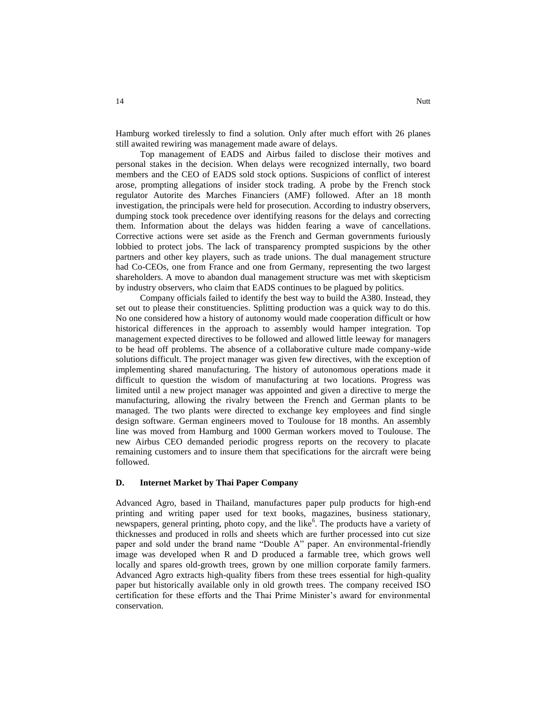Hamburg worked tirelessly to find a solution. Only after much effort with 26 planes still awaited rewiring was management made aware of delays.

Top management of EADS and Airbus failed to disclose their motives and personal stakes in the decision. When delays were recognized internally, two board members and the CEO of EADS sold stock options. Suspicions of conflict of interest arose, prompting allegations of insider stock trading. A probe by the French stock regulator Autorite des Marches Financiers (AMF) followed. After an 18 month investigation, the principals were held for prosecution. According to industry observers, dumping stock took precedence over identifying reasons for the delays and correcting them. Information about the delays was hidden fearing a wave of cancellations. Corrective actions were set aside as the French and German governments furiously lobbied to protect jobs. The lack of transparency prompted suspicions by the other partners and other key players, such as trade unions. The dual management structure had Co-CEOs, one from France and one from Germany, representing the two largest shareholders. A move to abandon dual management structure was met with skepticism by industry observers, who claim that EADS continues to be plagued by politics.

Company officials failed to identify the best way to build the A380. Instead, they set out to please their constituencies. Splitting production was a quick way to do this. No one considered how a history of autonomy would made cooperation difficult or how historical differences in the approach to assembly would hamper integration. Top management expected directives to be followed and allowed little leeway for managers to be head off problems. The absence of a collaborative culture made company-wide solutions difficult. The project manager was given few directives, with the exception of implementing shared manufacturing. The history of autonomous operations made it difficult to question the wisdom of manufacturing at two locations. Progress was limited until a new project manager was appointed and given a directive to merge the manufacturing, allowing the rivalry between the French and German plants to be managed. The two plants were directed to exchange key employees and find single design software. German engineers moved to Toulouse for 18 months. An assembly line was moved from Hamburg and 1000 German workers moved to Toulouse. The new Airbus CEO demanded periodic progress reports on the recovery to placate remaining customers and to insure them that specifications for the aircraft were being followed.

#### **D. Internet Market by Thai Paper Company**

Advanced Agro, based in Thailand, manufactures paper pulp products for high-end printing and writing paper used for text books, magazines, business stationary, newspapers, general printing, photo copy, and the like<sup>6</sup>. The products have a variety of thicknesses and produced in rolls and sheets which are further processed into cut size paper and sold under the brand name "Double A" paper. An environmental-friendly image was developed when R and D produced a farmable tree, which grows well locally and spares old-growth trees, grown by one million corporate family farmers. Advanced Agro extracts high-quality fibers from these trees essential for high-quality paper but historically available only in old growth trees. The company received ISO certification for these efforts and the Thai Prime Minister's award for environmental conservation.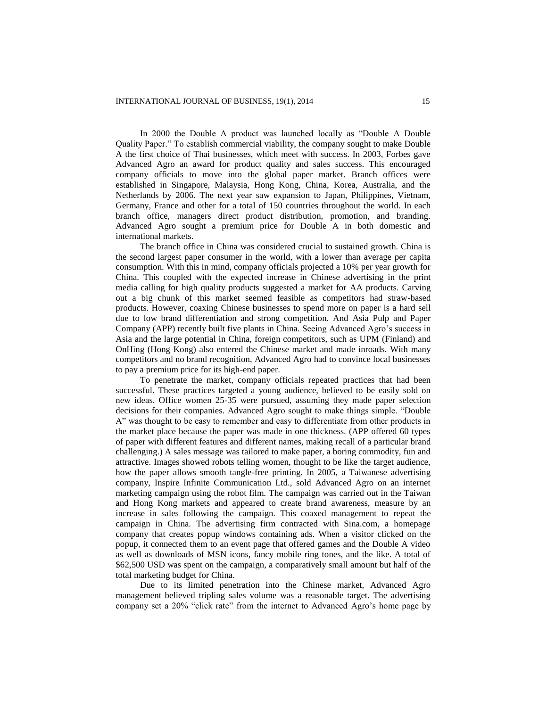In 2000 the Double A product was launched locally as "Double A Double Quality Paper." To establish commercial viability, the company sought to make Double A the first choice of Thai businesses, which meet with success. In 2003, Forbes gave Advanced Agro an award for product quality and sales success. This encouraged company officials to move into the global paper market. Branch offices were established in Singapore, Malaysia, Hong Kong, China, Korea, Australia, and the Netherlands by 2006. The next year saw expansion to Japan, Philippines, Vietnam, Germany, France and other for a total of 150 countries throughout the world. In each branch office, managers direct product distribution, promotion, and branding. Advanced Agro sought a premium price for Double A in both domestic and international markets.

The branch office in China was considered crucial to sustained growth. China is the second largest paper consumer in the world, with a lower than average per capita consumption. With this in mind, company officials projected a 10% per year growth for China. This coupled with the expected increase in Chinese advertising in the print media calling for high quality products suggested a market for AA products. Carving out a big chunk of this market seemed feasible as competitors had straw-based products. However, coaxing Chinese businesses to spend more on paper is a hard sell due to low brand differentiation and strong competition. And Asia Pulp and Paper Company (APP) recently built five plants in China. Seeing Advanced Agro's success in Asia and the large potential in China, foreign competitors, such as UPM (Finland) and OnHing (Hong Kong) also entered the Chinese market and made inroads. With many competitors and no brand recognition, Advanced Agro had to convince local businesses to pay a premium price for its high-end paper.

To penetrate the market, company officials repeated practices that had been successful. These practices targeted a young audience, believed to be easily sold on new ideas. Office women 25-35 were pursued, assuming they made paper selection decisions for their companies. Advanced Agro sought to make things simple. "Double A" was thought to be easy to remember and easy to differentiate from other products in the market place because the paper was made in one thickness. (APP offered 60 types of paper with different features and different names, making recall of a particular brand challenging.) A sales message was tailored to make paper, a boring commodity, fun and attractive. Images showed robots telling women, thought to be like the target audience, how the paper allows smooth tangle-free printing. In 2005, a Taiwanese advertising company, Inspire Infinite Communication Ltd., sold Advanced Agro on an internet marketing campaign using the robot film. The campaign was carried out in the Taiwan and Hong Kong markets and appeared to create brand awareness, measure by an increase in sales following the campaign. This coaxed management to repeat the campaign in China. The advertising firm contracted with Sina.com, a homepage company that creates popup windows containing ads. When a visitor clicked on the popup, it connected them to an event page that offered games and the Double A video as well as downloads of MSN icons, fancy mobile ring tones, and the like. A total of \$62,500 USD was spent on the campaign, a comparatively small amount but half of the total marketing budget for China.

Due to its limited penetration into the Chinese market, Advanced Agro management believed tripling sales volume was a reasonable target. The advertising company set a 20% "click rate" from the internet to Advanced Agro's home page by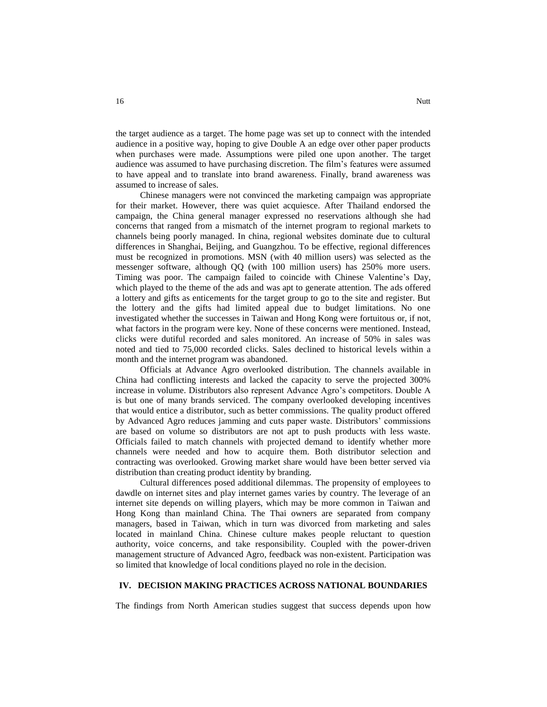the target audience as a target. The home page was set up to connect with the intended audience in a positive way, hoping to give Double A an edge over other paper products when purchases were made. Assumptions were piled one upon another. The target audience was assumed to have purchasing discretion. The film's features were assumed to have appeal and to translate into brand awareness. Finally, brand awareness was assumed to increase of sales.

Chinese managers were not convinced the marketing campaign was appropriate for their market. However, there was quiet acquiesce. After Thailand endorsed the campaign, the China general manager expressed no reservations although she had concerns that ranged from a mismatch of the internet program to regional markets to channels being poorly managed. In china, regional websites dominate due to cultural differences in Shanghai, Beijing, and Guangzhou. To be effective, regional differences must be recognized in promotions. MSN (with 40 million users) was selected as the messenger software, although QQ (with 100 million users) has 250% more users. Timing was poor. The campaign failed to coincide with Chinese Valentine's Day, which played to the theme of the ads and was apt to generate attention. The ads offered a lottery and gifts as enticements for the target group to go to the site and register. But the lottery and the gifts had limited appeal due to budget limitations. No one investigated whether the successes in Taiwan and Hong Kong were fortuitous or, if not, what factors in the program were key. None of these concerns were mentioned. Instead, clicks were dutiful recorded and sales monitored. An increase of 50% in sales was noted and tied to 75,000 recorded clicks. Sales declined to historical levels within a month and the internet program was abandoned.

Officials at Advance Agro overlooked distribution. The channels available in China had conflicting interests and lacked the capacity to serve the projected 300% increase in volume. Distributors also represent Advance Agro's competitors. Double A is but one of many brands serviced. The company overlooked developing incentives that would entice a distributor, such as better commissions. The quality product offered by Advanced Agro reduces jamming and cuts paper waste. Distributors' commissions are based on volume so distributors are not apt to push products with less waste. Officials failed to match channels with projected demand to identify whether more channels were needed and how to acquire them. Both distributor selection and contracting was overlooked. Growing market share would have been better served via distribution than creating product identity by branding.

Cultural differences posed additional dilemmas. The propensity of employees to dawdle on internet sites and play internet games varies by country. The leverage of an internet site depends on willing players, which may be more common in Taiwan and Hong Kong than mainland China. The Thai owners are separated from company managers, based in Taiwan, which in turn was divorced from marketing and sales located in mainland China. Chinese culture makes people reluctant to question authority, voice concerns, and take responsibility. Coupled with the power-driven management structure of Advanced Agro, feedback was non-existent. Participation was so limited that knowledge of local conditions played no role in the decision.

#### **IV. DECISION MAKING PRACTICES ACROSS NATIONAL BOUNDARIES**

The findings from North American studies suggest that success depends upon how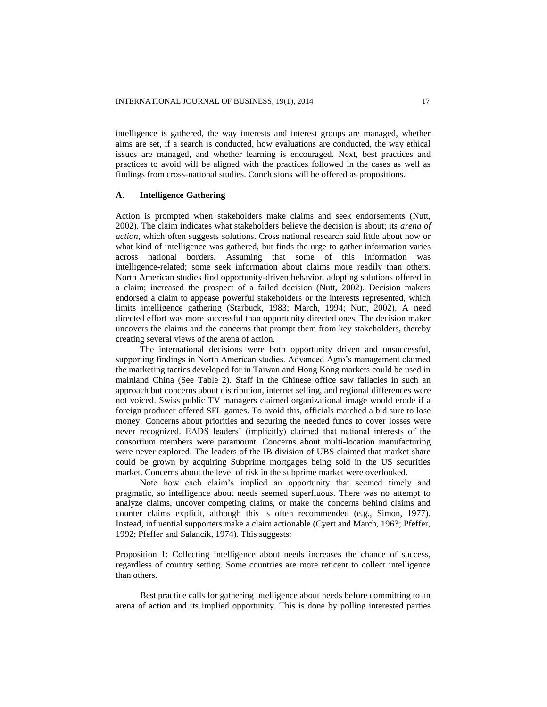intelligence is gathered, the way interests and interest groups are managed, whether aims are set, if a search is conducted, how evaluations are conducted, the way ethical issues are managed, and whether learning is encouraged. Next, best practices and practices to avoid will be aligned with the practices followed in the cases as well as findings from cross-national studies. Conclusions will be offered as propositions.

#### **A. Intelligence Gathering**

Action is prompted when stakeholders make claims and seek endorsements (Nutt, 2002). The claim indicates what stakeholders believe the decision is about; its *arena of action,* which often suggests solutions. Cross national research said little about how or what kind of intelligence was gathered, but finds the urge to gather information varies across national borders. Assuming that some of this information was intelligence-related; some seek information about claims more readily than others. North American studies find opportunity-driven behavior, adopting solutions offered in a claim; increased the prospect of a failed decision (Nutt, 2002). Decision makers endorsed a claim to appease powerful stakeholders or the interests represented, which limits intelligence gathering (Starbuck, 1983; March, 1994; Nutt, 2002). A need directed effort was more successful than opportunity directed ones. The decision maker uncovers the claims and the concerns that prompt them from key stakeholders, thereby creating several views of the arena of action.

The international decisions were both opportunity driven and unsuccessful, supporting findings in North American studies. Advanced Agro's management claimed the marketing tactics developed for in Taiwan and Hong Kong markets could be used in mainland China (See Table 2). Staff in the Chinese office saw fallacies in such an approach but concerns about distribution, internet selling, and regional differences were not voiced. Swiss public TV managers claimed organizational image would erode if a foreign producer offered SFL games. To avoid this, officials matched a bid sure to lose money. Concerns about priorities and securing the needed funds to cover losses were never recognized. EADS leaders' (implicitly) claimed that national interests of the consortium members were paramount. Concerns about multi-location manufacturing were never explored. The leaders of the IB division of UBS claimed that market share could be grown by acquiring Subprime mortgages being sold in the US securities market. Concerns about the level of risk in the subprime market were overlooked.

Note how each claim's implied an opportunity that seemed timely and pragmatic, so intelligence about needs seemed superfluous. There was no attempt to analyze claims, uncover competing claims, or make the concerns behind claims and counter claims explicit, although this is often recommended (e.g., Simon, 1977). Instead, influential supporters make a claim actionable (Cyert and March, 1963; Pfeffer, 1992; Pfeffer and Salancik, 1974). This suggests:

Proposition 1: Collecting intelligence about needs increases the chance of success, regardless of country setting. Some countries are more reticent to collect intelligence than others.

Best practice calls for gathering intelligence about needs before committing to an arena of action and its implied opportunity. This is done by polling interested parties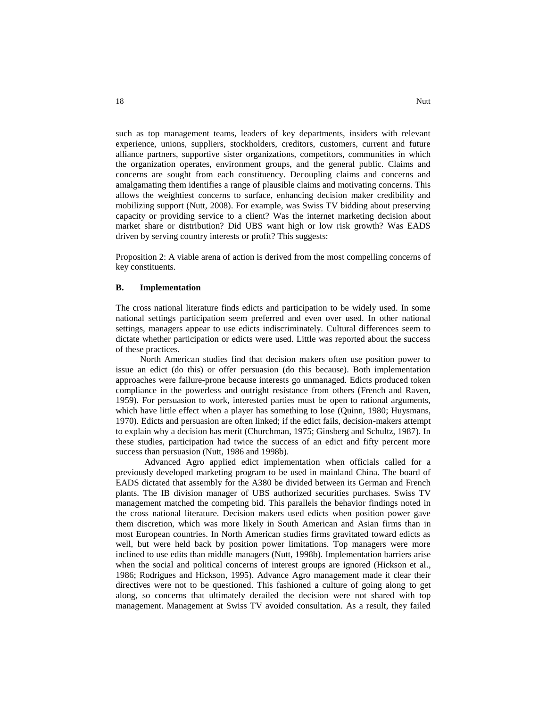such as top management teams, leaders of key departments, insiders with relevant experience, unions, suppliers, stockholders, creditors, customers, current and future alliance partners, supportive sister organizations, competitors, communities in which the organization operates, environment groups, and the general public. Claims and concerns are sought from each constituency. Decoupling claims and concerns and amalgamating them identifies a range of plausible claims and motivating concerns. This allows the weightiest concerns to surface, enhancing decision maker credibility and mobilizing support (Nutt, 2008). For example, was Swiss TV bidding about preserving capacity or providing service to a client? Was the internet marketing decision about market share or distribution? Did UBS want high or low risk growth? Was EADS driven by serving country interests or profit? This suggests:

Proposition 2: A viable arena of action is derived from the most compelling concerns of key constituents.

#### **B. Implementation**

The cross national literature finds edicts and participation to be widely used. In some national settings participation seem preferred and even over used. In other national settings, managers appear to use edicts indiscriminately. Cultural differences seem to dictate whether participation or edicts were used. Little was reported about the success of these practices.

North American studies find that decision makers often use position power to issue an edict (do this) or offer persuasion (do this because). Both implementation approaches were failure-prone because interests go unmanaged. Edicts produced token compliance in the powerless and outright resistance from others (French and Raven, 1959). For persuasion to work, interested parties must be open to rational arguments, which have little effect when a player has something to lose (Quinn, 1980; Huysmans, 1970). Edicts and persuasion are often linked; if the edict fails, decision-makers attempt to explain why a decision has merit (Churchman, 1975; Ginsberg and Schultz, 1987). In these studies, participation had twice the success of an edict and fifty percent more success than persuasion (Nutt, 1986 and 1998b).

Advanced Agro applied edict implementation when officials called for a previously developed marketing program to be used in mainland China. The board of EADS dictated that assembly for the A380 be divided between its German and French plants. The IB division manager of UBS authorized securities purchases. Swiss TV management matched the competing bid. This parallels the behavior findings noted in the cross national literature. Decision makers used edicts when position power gave them discretion, which was more likely in South American and Asian firms than in most European countries. In North American studies firms gravitated toward edicts as well, but were held back by position power limitations. Top managers were more inclined to use edits than middle managers (Nutt, 1998b). Implementation barriers arise when the social and political concerns of interest groups are ignored (Hickson et al., 1986; Rodrigues and Hickson, 1995). Advance Agro management made it clear their directives were not to be questioned. This fashioned a culture of going along to get along, so concerns that ultimately derailed the decision were not shared with top management. Management at Swiss TV avoided consultation. As a result, they failed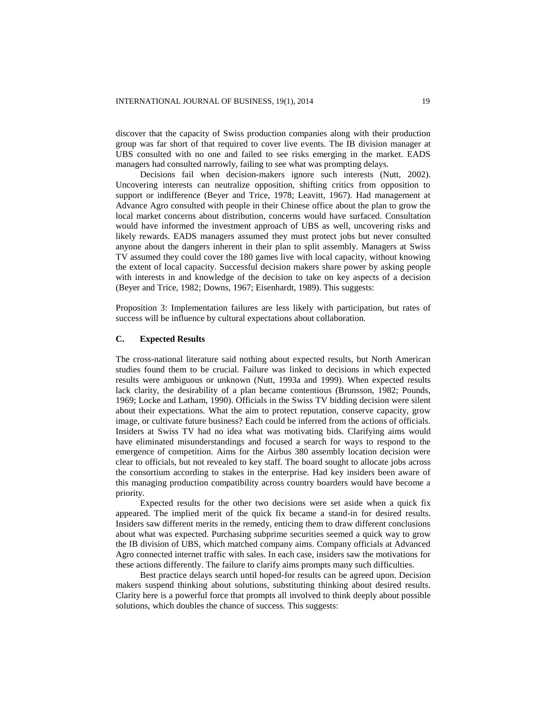discover that the capacity of Swiss production companies along with their production group was far short of that required to cover live events. The IB division manager at UBS consulted with no one and failed to see risks emerging in the market. EADS managers had consulted narrowly, failing to see what was prompting delays.

Decisions fail when decision-makers ignore such interests (Nutt, 2002). Uncovering interests can neutralize opposition, shifting critics from opposition to support or indifference (Beyer and Trice, 1978; Leavitt, 1967). Had management at Advance Agro consulted with people in their Chinese office about the plan to grow the local market concerns about distribution, concerns would have surfaced. Consultation would have informed the investment approach of UBS as well, uncovering risks and likely rewards. EADS managers assumed they must protect jobs but never consulted anyone about the dangers inherent in their plan to split assembly. Managers at Swiss TV assumed they could cover the 180 games live with local capacity, without knowing the extent of local capacity. Successful decision makers share power by asking people with interests in and knowledge of the decision to take on key aspects of a decision (Beyer and Trice, 1982; Downs, 1967; Eisenhardt, 1989). This suggests:

Proposition 3: Implementation failures are less likely with participation, but rates of success will be influence by cultural expectations about collaboration.

#### **C. Expected Results**

The cross-national literature said nothing about expected results, but North American studies found them to be crucial. Failure was linked to decisions in which expected results were ambiguous or unknown (Nutt, 1993a and 1999). When expected results lack clarity, the desirability of a plan became contentious (Brunsson, 1982; Pounds, 1969; Locke and Latham, 1990). Officials in the Swiss TV bidding decision were silent about their expectations. What the aim to protect reputation, conserve capacity, grow image, or cultivate future business? Each could be inferred from the actions of officials. Insiders at Swiss TV had no idea what was motivating bids. Clarifying aims would have eliminated misunderstandings and focused a search for ways to respond to the emergence of competition. Aims for the Airbus 380 assembly location decision were clear to officials, but not revealed to key staff. The board sought to allocate jobs across the consortium according to stakes in the enterprise. Had key insiders been aware of this managing production compatibility across country boarders would have become a priority.

Expected results for the other two decisions were set aside when a quick fix appeared. The implied merit of the quick fix became a stand-in for desired results. Insiders saw different merits in the remedy, enticing them to draw different conclusions about what was expected. Purchasing subprime securities seemed a quick way to grow the IB division of UBS, which matched company aims. Company officials at Advanced Agro connected internet traffic with sales. In each case, insiders saw the motivations for these actions differently. The failure to clarify aims prompts many such difficulties.

Best practice delays search until hoped-for results can be agreed upon. Decision makers suspend thinking about solutions, substituting thinking about desired results. Clarity here is a powerful force that prompts all involved to think deeply about possible solutions, which doubles the chance of success. This suggests: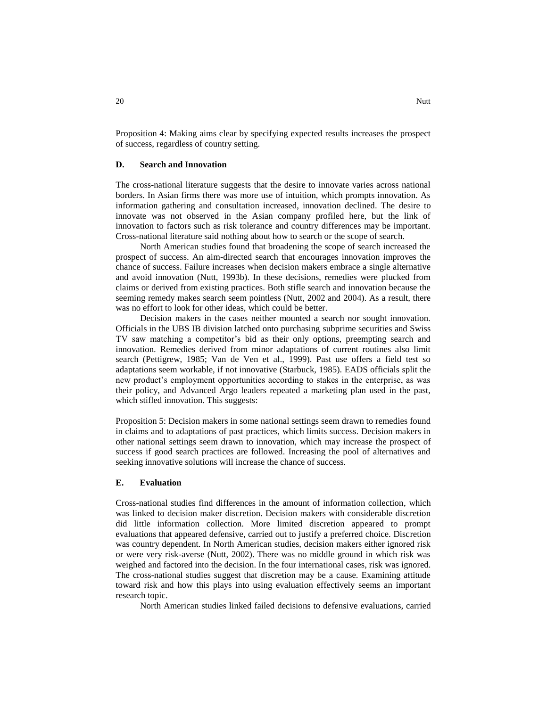Proposition 4: Making aims clear by specifying expected results increases the prospect of success, regardless of country setting.

#### **D. Search and Innovation**

The cross-national literature suggests that the desire to innovate varies across national borders. In Asian firms there was more use of intuition, which prompts innovation. As information gathering and consultation increased, innovation declined. The desire to innovate was not observed in the Asian company profiled here, but the link of innovation to factors such as risk tolerance and country differences may be important. Cross-national literature said nothing about how to search or the scope of search.

North American studies found that broadening the scope of search increased the prospect of success. An aim-directed search that encourages innovation improves the chance of success. Failure increases when decision makers embrace a single alternative and avoid innovation (Nutt, 1993b). In these decisions, remedies were plucked from claims or derived from existing practices. Both stifle search and innovation because the seeming remedy makes search seem pointless (Nutt, 2002 and 2004). As a result, there was no effort to look for other ideas, which could be better.

Decision makers in the cases neither mounted a search nor sought innovation. Officials in the UBS IB division latched onto purchasing subprime securities and Swiss TV saw matching a competitor's bid as their only options, preempting search and innovation. Remedies derived from minor adaptations of current routines also limit search (Pettigrew, 1985; Van de Ven et al., 1999). Past use offers a field test so adaptations seem workable, if not innovative (Starbuck, 1985). EADS officials split the new product's employment opportunities according to stakes in the enterprise, as was their policy, and Advanced Argo leaders repeated a marketing plan used in the past, which stifled innovation. This suggests:

Proposition 5: Decision makers in some national settings seem drawn to remedies found in claims and to adaptations of past practices, which limits success. Decision makers in other national settings seem drawn to innovation, which may increase the prospect of success if good search practices are followed. Increasing the pool of alternatives and seeking innovative solutions will increase the chance of success.

#### **E. Evaluation**

Cross-national studies find differences in the amount of information collection, which was linked to decision maker discretion. Decision makers with considerable discretion did little information collection. More limited discretion appeared to prompt evaluations that appeared defensive, carried out to justify a preferred choice. Discretion was country dependent. In North American studies, decision makers either ignored risk or were very risk-averse (Nutt, 2002). There was no middle ground in which risk was weighed and factored into the decision. In the four international cases, risk was ignored. The cross-national studies suggest that discretion may be a cause. Examining attitude toward risk and how this plays into using evaluation effectively seems an important research topic.

North American studies linked failed decisions to defensive evaluations, carried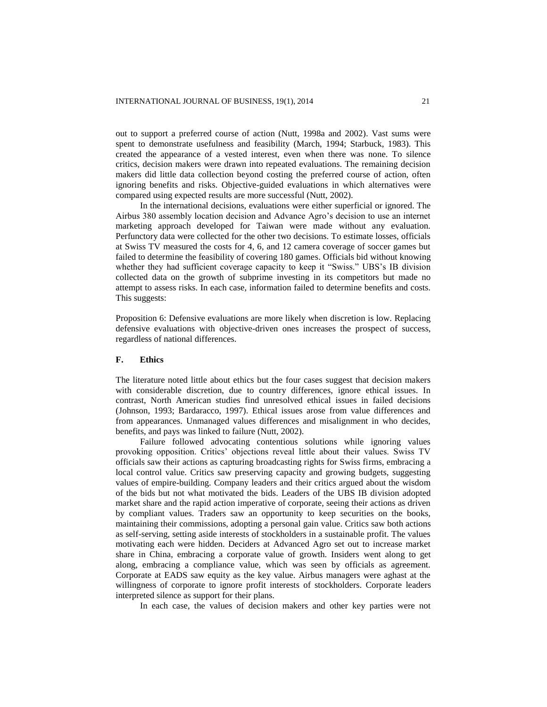out to support a preferred course of action (Nutt, 1998a and 2002). Vast sums were spent to demonstrate usefulness and feasibility (March, 1994; Starbuck, 1983). This created the appearance of a vested interest, even when there was none. To silence critics, decision makers were drawn into repeated evaluations. The remaining decision makers did little data collection beyond costing the preferred course of action, often ignoring benefits and risks. Objective-guided evaluations in which alternatives were compared using expected results are more successful (Nutt, 2002).

In the international decisions, evaluations were either superficial or ignored. The Airbus 380 assembly location decision and Advance Agro's decision to use an internet marketing approach developed for Taiwan were made without any evaluation. Perfunctory data were collected for the other two decisions. To estimate losses, officials at Swiss TV measured the costs for 4, 6, and 12 camera coverage of soccer games but failed to determine the feasibility of covering 180 games. Officials bid without knowing whether they had sufficient coverage capacity to keep it "Swiss." UBS's IB division collected data on the growth of subprime investing in its competitors but made no attempt to assess risks. In each case, information failed to determine benefits and costs. This suggests:

Proposition 6: Defensive evaluations are more likely when discretion is low. Replacing defensive evaluations with objective-driven ones increases the prospect of success, regardless of national differences.

#### **F. Ethics**

The literature noted little about ethics but the four cases suggest that decision makers with considerable discretion, due to country differences, ignore ethical issues. In contrast, North American studies find unresolved ethical issues in failed decisions (Johnson, 1993; Bardaracco, 1997). Ethical issues arose from value differences and from appearances. Unmanaged values differences and misalignment in who decides, benefits, and pays was linked to failure (Nutt, 2002).

Failure followed advocating contentious solutions while ignoring values provoking opposition. Critics' objections reveal little about their values. Swiss TV officials saw their actions as capturing broadcasting rights for Swiss firms, embracing a local control value. Critics saw preserving capacity and growing budgets, suggesting values of empire-building. Company leaders and their critics argued about the wisdom of the bids but not what motivated the bids. Leaders of the UBS IB division adopted market share and the rapid action imperative of corporate, seeing their actions as driven by compliant values. Traders saw an opportunity to keep securities on the books, maintaining their commissions, adopting a personal gain value. Critics saw both actions as self-serving, setting aside interests of stockholders in a sustainable profit. The values motivating each were hidden. Deciders at Advanced Agro set out to increase market share in China, embracing a corporate value of growth. Insiders went along to get along, embracing a compliance value, which was seen by officials as agreement. Corporate at EADS saw equity as the key value. Airbus managers were aghast at the willingness of corporate to ignore profit interests of stockholders. Corporate leaders interpreted silence as support for their plans.

In each case, the values of decision makers and other key parties were not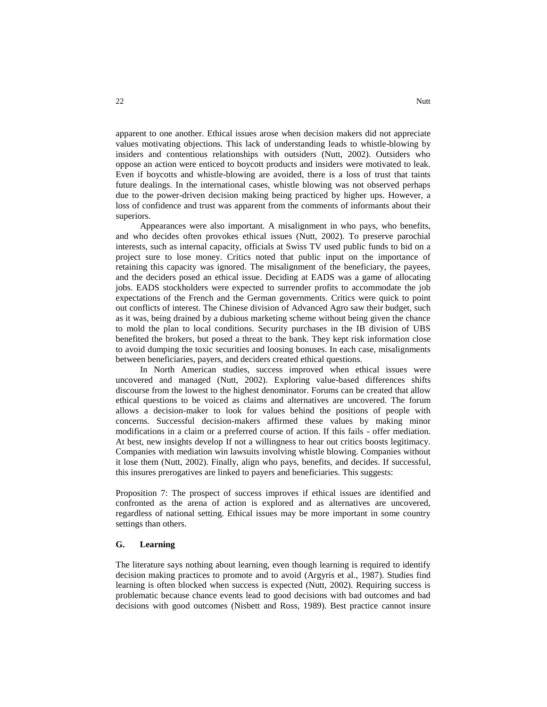apparent to one another. Ethical issues arose when decision makers did not appreciate values motivating objections. This lack of understanding leads to whistle-blowing by insiders and contentious relationships with outsiders (Nutt, 2002). Outsiders who oppose an action were enticed to boycott products and insiders were motivated to leak. Even if boycotts and whistle-blowing are avoided, there is a loss of trust that taints future dealings. In the international cases, whistle blowing was not observed perhaps due to the power-driven decision making being practiced by higher ups. However, a loss of confidence and trust was apparent from the comments of informants about their superiors.

Appearances were also important. A misalignment in who pays, who benefits, and who decides often provokes ethical issues (Nutt, 2002). To preserve parochial interests, such as internal capacity, officials at Swiss TV used public funds to bid on a project sure to lose money. Critics noted that public input on the importance of retaining this capacity was ignored. The misalignment of the beneficiary, the payees, and the deciders posed an ethical issue. Deciding at EADS was a game of allocating jobs. EADS stockholders were expected to surrender profits to accommodate the job expectations of the French and the German governments. Critics were quick to point out conflicts of interest. The Chinese division of Advanced Agro saw their budget, such as it was, being drained by a dubious marketing scheme without being given the chance to mold the plan to local conditions. Security purchases in the IB division of UBS benefited the brokers, but posed a threat to the bank. They kept risk information close to avoid dumping the toxic securities and loosing bonuses. In each case, misalignments between beneficiaries, payers, and deciders created ethical questions.

In North American studies, success improved when ethical issues were uncovered and managed (Nutt, 2002). Exploring value-based differences shifts discourse from the lowest to the highest denominator. Forums can be created that allow ethical questions to be voiced as claims and alternatives are uncovered. The forum allows a decision-maker to look for values behind the positions of people with concerns. Successful decision-makers affirmed these values by making minor modifications in a claim or a preferred course of action. If this fails - offer mediation. At best, new insights develop If not a willingness to hear out critics boosts legitimacy. Companies with mediation win lawsuits involving whistle blowing. Companies without it lose them (Nutt, 2002). Finally, align who pays, benefits, and decides. If successful, this insures prerogatives are linked to payers and beneficiaries. This suggests:

Proposition 7: The prospect of success improves if ethical issues are identified and confronted as the arena of action is explored and as alternatives are uncovered, regardless of national setting. Ethical issues may be more important in some country settings than others.

#### **G. Learning**

The literature says nothing about learning, even though learning is required to identify decision making practices to promote and to avoid (Argyris et al., 1987). Studies find learning is often blocked when success is expected (Nutt, 2002). Requiring success is problematic because chance events lead to good decisions with bad outcomes and bad decisions with good outcomes (Nisbett and Ross, 1989). Best practice cannot insure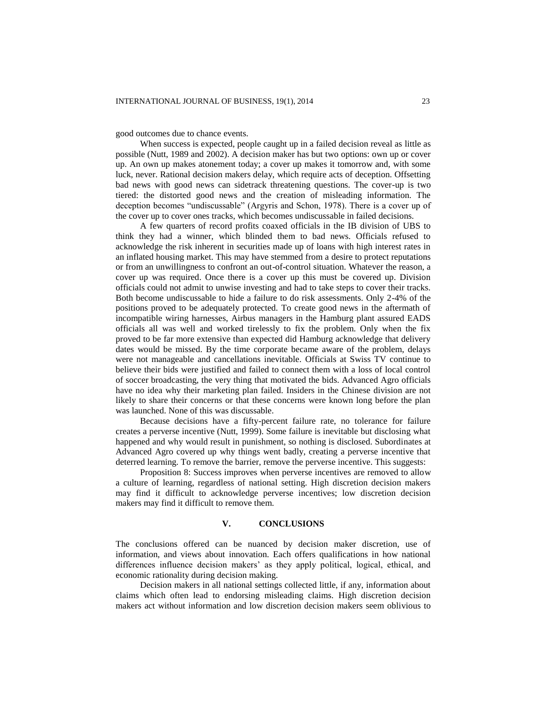good outcomes due to chance events.

When success is expected, people caught up in a failed decision reveal as little as possible (Nutt, 1989 and 2002). A decision maker has but two options: own up or cover up. An own up makes atonement today; a cover up makes it tomorrow and, with some luck, never. Rational decision makers delay, which require acts of deception. Offsetting bad news with good news can sidetrack threatening questions. The cover-up is two tiered: the distorted good news and the creation of misleading information. The deception becomes "undiscussable" (Argyris and Schon, 1978). There is a cover up of the cover up to cover ones tracks, which becomes undiscussable in failed decisions.

A few quarters of record profits coaxed officials in the IB division of UBS to think they had a winner, which blinded them to bad news. Officials refused to acknowledge the risk inherent in securities made up of loans with high interest rates in an inflated housing market. This may have stemmed from a desire to protect reputations or from an unwillingness to confront an out-of-control situation. Whatever the reason, a cover up was required. Once there is a cover up this must be covered up. Division officials could not admit to unwise investing and had to take steps to cover their tracks. Both become undiscussable to hide a failure to do risk assessments. Only 2-4% of the positions proved to be adequately protected. To create good news in the aftermath of incompatible wiring harnesses, Airbus managers in the Hamburg plant assured EADS officials all was well and worked tirelessly to fix the problem. Only when the fix proved to be far more extensive than expected did Hamburg acknowledge that delivery dates would be missed. By the time corporate became aware of the problem, delays were not manageable and cancellations inevitable. Officials at Swiss TV continue to believe their bids were justified and failed to connect them with a loss of local control of soccer broadcasting, the very thing that motivated the bids. Advanced Agro officials have no idea why their marketing plan failed. Insiders in the Chinese division are not likely to share their concerns or that these concerns were known long before the plan was launched. None of this was discussable.

Because decisions have a fifty-percent failure rate, no tolerance for failure creates a perverse incentive (Nutt, 1999). Some failure is inevitable but disclosing what happened and why would result in punishment, so nothing is disclosed. Subordinates at Advanced Agro covered up why things went badly, creating a perverse incentive that deterred learning. To remove the barrier, remove the perverse incentive. This suggests:

Proposition 8: Success improves when perverse incentives are removed to allow a culture of learning, regardless of national setting. High discretion decision makers may find it difficult to acknowledge perverse incentives; low discretion decision makers may find it difficult to remove them.

#### **V. CONCLUSIONS**

The conclusions offered can be nuanced by decision maker discretion, use of information, and views about innovation. Each offers qualifications in how national differences influence decision makers' as they apply political, logical, ethical, and economic rationality during decision making.

Decision makers in all national settings collected little, if any, information about claims which often lead to endorsing misleading claims. High discretion decision makers act without information and low discretion decision makers seem oblivious to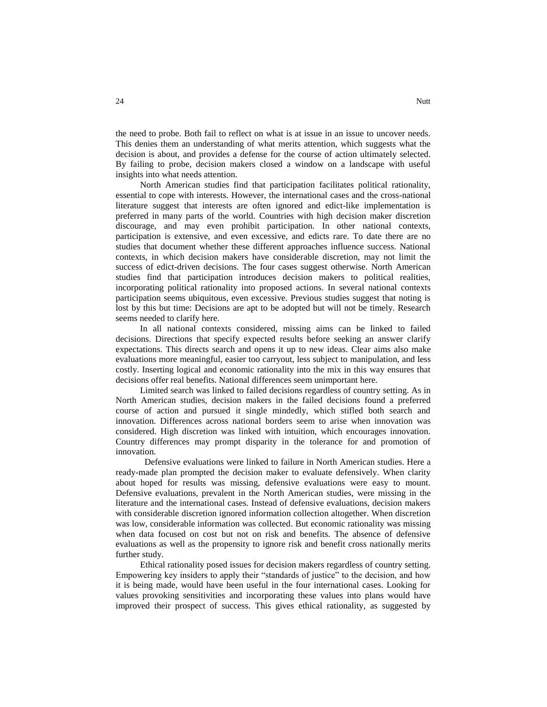the need to probe. Both fail to reflect on what is at issue in an issue to uncover needs. This denies them an understanding of what merits attention, which suggests what the decision is about, and provides a defense for the course of action ultimately selected. By failing to probe, decision makers closed a window on a landscape with useful insights into what needs attention.

North American studies find that participation facilitates political rationality, essential to cope with interests. However, the international cases and the cross-national literature suggest that interests are often ignored and edict-like implementation is preferred in many parts of the world. Countries with high decision maker discretion discourage, and may even prohibit participation. In other national contexts, participation is extensive, and even excessive, and edicts rare. To date there are no studies that document whether these different approaches influence success. National contexts, in which decision makers have considerable discretion, may not limit the success of edict-driven decisions. The four cases suggest otherwise. North American studies find that participation introduces decision makers to political realities, incorporating political rationality into proposed actions. In several national contexts participation seems ubiquitous, even excessive. Previous studies suggest that noting is lost by this but time: Decisions are apt to be adopted but will not be timely. Research seems needed to clarify here.

In all national contexts considered, missing aims can be linked to failed decisions. Directions that specify expected results before seeking an answer clarify expectations. This directs search and opens it up to new ideas. Clear aims also make evaluations more meaningful, easier too carryout, less subject to manipulation, and less costly. Inserting logical and economic rationality into the mix in this way ensures that decisions offer real benefits. National differences seem unimportant here.

Limited search was linked to failed decisions regardless of country setting. As in North American studies, decision makers in the failed decisions found a preferred course of action and pursued it single mindedly, which stifled both search and innovation. Differences across national borders seem to arise when innovation was considered. High discretion was linked with intuition, which encourages innovation. Country differences may prompt disparity in the tolerance for and promotion of innovation.

Defensive evaluations were linked to failure in North American studies. Here a ready-made plan prompted the decision maker to evaluate defensively. When clarity about hoped for results was missing, defensive evaluations were easy to mount. Defensive evaluations, prevalent in the North American studies, were missing in the literature and the international cases. Instead of defensive evaluations, decision makers with considerable discretion ignored information collection altogether. When discretion was low, considerable information was collected. But economic rationality was missing when data focused on cost but not on risk and benefits. The absence of defensive evaluations as well as the propensity to ignore risk and benefit cross nationally merits further study.

Ethical rationality posed issues for decision makers regardless of country setting. Empowering key insiders to apply their "standards of justice" to the decision, and how it is being made, would have been useful in the four international cases. Looking for values provoking sensitivities and incorporating these values into plans would have improved their prospect of success. This gives ethical rationality, as suggested by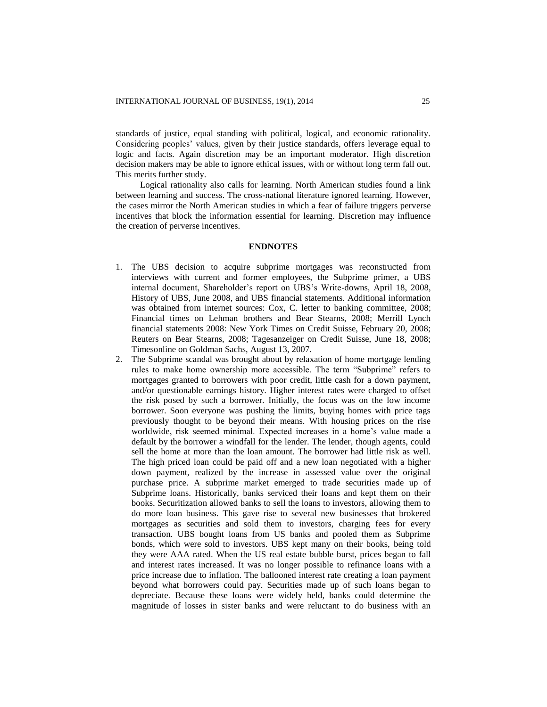standards of justice, equal standing with political, logical, and economic rationality. Considering peoples' values, given by their justice standards, offers leverage equal to logic and facts. Again discretion may be an important moderator. High discretion decision makers may be able to ignore ethical issues, with or without long term fall out. This merits further study.

Logical rationality also calls for learning. North American studies found a link between learning and success. The cross-national literature ignored learning. However, the cases mirror the North American studies in which a fear of failure triggers perverse incentives that block the information essential for learning. Discretion may influence the creation of perverse incentives.

#### **ENDNOTES**

- 1. The UBS decision to acquire subprime mortgages was reconstructed from interviews with current and former employees, the Subprime primer, a UBS internal document, Shareholder's report on UBS's Write-downs, April 18, 2008, History of UBS, June 2008, and UBS financial statements. Additional information was obtained from internet sources: Cox, C. letter to banking committee, 2008; Financial times on Lehman brothers and Bear Stearns, 2008; Merrill Lynch financial statements 2008: New York Times on Credit Suisse, February 20, 2008; Reuters on Bear Stearns, 2008; Tagesanzeiger on Credit Suisse, June 18, 2008; Timesonline on Goldman Sachs, August 13, 2007.
- 2. The Subprime scandal was brought about by relaxation of home mortgage lending rules to make home ownership more accessible. The term "Subprime" refers to mortgages granted to borrowers with poor credit, little cash for a down payment, and/or questionable earnings history. Higher interest rates were charged to offset the risk posed by such a borrower. Initially, the focus was on the low income borrower. Soon everyone was pushing the limits, buying homes with price tags previously thought to be beyond their means. With housing prices on the rise worldwide, risk seemed minimal. Expected increases in a home's value made a default by the borrower a windfall for the lender. The lender, though agents, could sell the home at more than the loan amount. The borrower had little risk as well. The high priced loan could be paid off and a new loan negotiated with a higher down payment, realized by the increase in assessed value over the original purchase price. A subprime market emerged to trade securities made up of Subprime loans. Historically, banks serviced their loans and kept them on their books. Securitization allowed banks to sell the loans to investors, allowing them to do more loan business. This gave rise to several new businesses that brokered mortgages as securities and sold them to investors, charging fees for every transaction. UBS bought loans from US banks and pooled them as Subprime bonds, which were sold to investors. UBS kept many on their books, being told they were AAA rated. When the US real estate bubble burst, prices began to fall and interest rates increased. It was no longer possible to refinance loans with a price increase due to inflation. The ballooned interest rate creating a loan payment beyond what borrowers could pay. Securities made up of such loans began to depreciate. Because these loans were widely held, banks could determine the magnitude of losses in sister banks and were reluctant to do business with an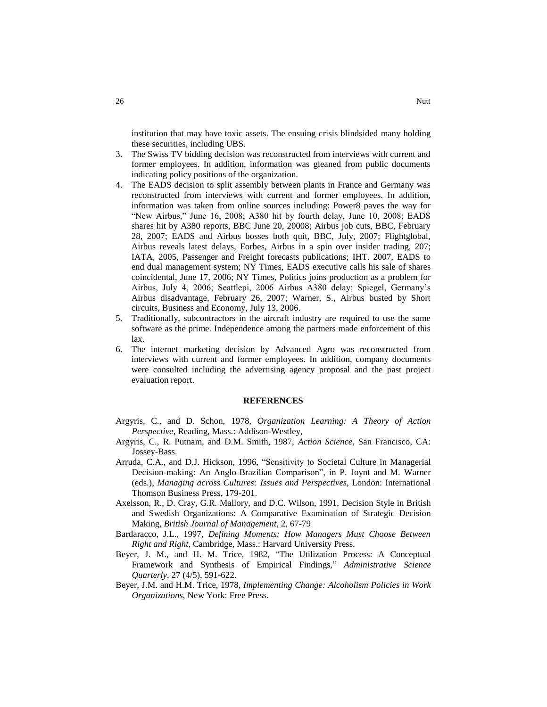institution that may have toxic assets. The ensuing crisis blindsided many holding these securities, including UBS.

- 3. The Swiss TV bidding decision was reconstructed from interviews with current and former employees. In addition, information was gleaned from public documents indicating policy positions of the organization.
- 4. The EADS decision to split assembly between plants in France and Germany was reconstructed from interviews with current and former employees. In addition, information was taken from online sources including: Power8 paves the way for "New Airbus," June 16, 2008; A380 hit by fourth delay, June 10, 2008; EADS shares hit by A380 reports, BBC June 20, 20008; Airbus job cuts, BBC, February 28, 2007; EADS and Airbus bosses both quit, BBC, July, 2007; Flightglobal, Airbus reveals latest delays, Forbes, Airbus in a spin over insider trading, 207; IATA, 2005, Passenger and Freight forecasts publications; IHT. 2007, EADS to end dual management system; NY Times, EADS executive calls his sale of shares coincidental, June 17, 2006; NY Times, Politics joins production as a problem for Airbus, July 4, 2006; Seattlepi, 2006 Airbus A380 delay; Spiegel, Germany's Airbus disadvantage, February 26, 2007; Warner, S., Airbus busted by Short circuits, Business and Economy, July 13, 2006.
- 5. Traditionally, subcontractors in the aircraft industry are required to use the same software as the prime. Independence among the partners made enforcement of this lax.
- 6. The internet marketing decision by Advanced Agro was reconstructed from interviews with current and former employees. In addition, company documents were consulted including the advertising agency proposal and the past project evaluation report.

#### **REFERENCES**

- Argyris, C., and D. Schon, 1978, *Organization Learning: A Theory of Action Perspective*, Reading, Mass.: Addison-Westley,
- Argyris, C., R. Putnam, and D.M. Smith, 1987, *Action Science*, San Francisco, CA: Jossey-Bass.
- Arruda, C.A., and D.J. Hickson, 1996, "Sensitivity to Societal Culture in Managerial Decision-making: An Anglo-Brazilian Comparison", in P. Joynt and M. Warner (eds.), *Managing across Cultures: Issues and Perspectives*, London: International Thomson Business Press, 179-201.
- Axelsson, R., D. Cray, G.R. Mallory, and D.C. Wilson, 1991, Decision Style in British and Swedish Organizations: A Comparative Examination of Strategic Decision Making, *British Journal of Management*, 2, 67-79
- Bardaracco, J.L., 1997, *Defining Moments: How Managers Must Choose Between Right and Right*, Cambridge, Mass.: Harvard University Press.
- Beyer, J. M., and H. M. Trice, 1982, "The Utilization Process: A Conceptual Framework and Synthesis of Empirical Findings," *Administrative Science Quarterly*, 27 (4/5), 591-622.
- Beyer, J.M. and H.M. Trice, 1978, *Implementing Change: Alcoholism Policies in Work Organizations*, New York: Free Press.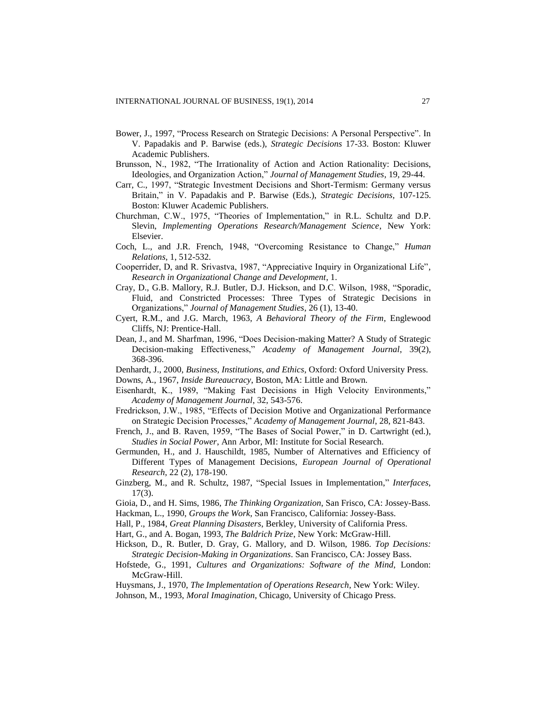- Bower, J., 1997, "Process Research on Strategic Decisions: A Personal Perspective". In V. Papadakis and P. Barwise (eds.), *Strategic Decisions* 17-33. Boston: Kluwer Academic Publishers.
- Brunsson, N., 1982, "The Irrationality of Action and Action Rationality: Decisions, Ideologies, and Organization Action," *Journal of Management Studies*, 19, 29-44.
- Carr, C., 1997, "Strategic Investment Decisions and Short-Termism: Germany versus Britain," in V. Papadakis and P. Barwise (Eds.), *Strategic Decisions,* 107-125. Boston: Kluwer Academic Publishers.
- Churchman, C.W., 1975, "Theories of Implementation," in R.L. Schultz and D.P. Slevin, *Implementing Operations Research/Management Science*, New York: Elsevier.
- Coch, L., and J.R. French, 1948, "Overcoming Resistance to Change," *Human Relations*, 1, 512-532.
- Cooperrider, D, and R. Srivastva, 1987, "Appreciative Inquiry in Organizational Life", *Research in Organizational Change and Development*, 1.
- Cray, D., G.B. Mallory, R.J. Butler, D.J. Hickson, and D.C. Wilson, 1988, "Sporadic, Fluid, and Constricted Processes: Three Types of Strategic Decisions in Organizations," *Journal of Management Studies*, 26 (1), 13-40.
- Cyert, R.M., and J.G. March, 1963, *A Behavioral Theory of the Firm*, Englewood Cliffs, NJ: Prentice-Hall.
- Dean, J., and M. Sharfman, 1996, "Does Decision-making Matter? A Study of Strategic Decision-making Effectiveness," *Academy of Management Journal*, 39(2), 368-396.
- Denhardt, J., 2000, *Business, Institutions, and Ethics*, Oxford: Oxford University Press.
- Downs, A., 1967, *Inside Bureaucracy*, Boston, MA: Little and Brown.
- Eisenhardt, K., 1989, "Making Fast Decisions in High Velocity Environments," *Academy of Management Journal*, 32, 543-576.
- Fredrickson, J.W., 1985, "Effects of Decision Motive and Organizational Performance on Strategic Decision Processes," *Academy of Management Journal*, 28, 821-843.
- French, J., and B. Raven, 1959, "The Bases of Social Power," in D. Cartwright (ed.), *Studies in Social Power*, Ann Arbor, MI: Institute for Social Research.
- Germunden, H., and J. Hauschildt, 1985, Number of Alternatives and Efficiency of Different Types of Management Decisions, *European Journal of Operational Research*, 22 (2), 178-190.
- Ginzberg, M., and R. Schultz, 1987, "Special Issues in Implementation," *Interfaces*, 17(3).
- Gioia, D., and H. Sims, 1986, *The Thinking Organization*, San Frisco, CA: Jossey-Bass.
- Hackman, L., 1990, *Groups the Work*, San Francisco, California: Jossey-Bass.
- Hall, P., 1984, *Great Planning Disasters*, Berkley, University of California Press.
- Hart, G., and A. Bogan, 1993, *The Baldrich Prize*, New York: McGraw-Hill.
- Hickson, D., R. Butler, D. Gray, G. Mallory, and D. Wilson, 1986. *Top Decisions: Strategic Decision-Making in Organizations*. San Francisco, CA: Jossey Bass.
- Hofstede, G., 1991, *Cultures and Organizations: Software of the Mind*, London: McGraw-Hill.
- Huysmans, J., 1970, *The Implementation of Operations Research*, New York: Wiley.
- Johnson, M., 1993, *Moral Imagination*, Chicago, University of Chicago Press.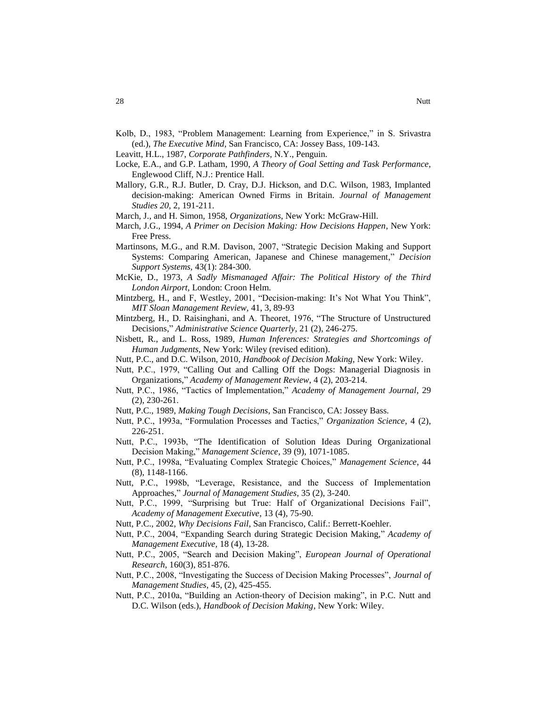- Kolb, D., 1983, "Problem Management: Learning from Experience," in S. Srivastra (ed.), *The Executive Mind*, San Francisco, CA: Jossey Bass, 109-143.
- Leavitt, H.L., 1987, *Corporate Pathfinders*, N.Y., Penguin.
- Locke, E.A., and G.P. Latham, 1990, *A Theory of Goal Setting and Task Performance*, Englewood Cliff, N.J.: Prentice Hall.
- Mallory, G.R., R.J. Butler, D. Cray, D.J. Hickson, and D.C. Wilson, 1983, Implanted decision-making: American Owned Firms in Britain. *Journal of Management Studies 20*, 2, 191-211.
- March, J., and H. Simon, 1958, *Organizations*, New York: McGraw-Hill.
- March, J.G., 1994, *A Primer on Decision Making: How Decisions Happen*, New York: Free Press.
- Martinsons, M.G., and R.M. Davison, 2007, "Strategic Decision Making and Support Systems: Comparing American, Japanese and Chinese management," *Decision Support Systems,* 43(1): 284-300.
- McKie, D., 1973, *A Sadly Mismanaged Affair: The Political History of the Third London Airport,* London: Croon Helm.
- Mintzberg, H., and F, Westley, 2001, "Decision-making: It's Not What You Think", *MIT Sloan Management Review,* 41, 3, 89-93
- Mintzberg, H., D. Raisinghani, and A. Theoret, 1976, "The Structure of Unstructured Decisions," *Administrative Science Quarterly*, 21 (2), 246-275.
- Nisbett, R., and L. Ross, 1989, *Human Inferences: Strategies and Shortcomings of Human Judgments*, New York: Wiley (revised edition).
- Nutt, P.C., and D.C. Wilson, 2010, *Handbook of Decision Making,* New York: Wiley.
- Nutt, P.C., 1979, "Calling Out and Calling Off the Dogs: Managerial Diagnosis in Organizations," *Academy of Management Review*, 4 (2), 203-214.
- Nutt, P.C., 1986, "Tactics of Implementation," *Academy of Management Journal*, 29 (2), 230-261.
- Nutt, P.C., 1989, *Making Tough Decisions*, San Francisco, CA: Jossey Bass.
- Nutt, P.C., 1993a, "Formulation Processes and Tactics," *Organization Science*, 4 (2), 226-251.
- Nutt, P.C., 1993b, "The Identification of Solution Ideas During Organizational Decision Making," *Management Science*, 39 (9), 1071-1085.
- Nutt, P.C., 1998a, "Evaluating Complex Strategic Choices," *Management Science*, 44 (8), 1148-1166.
- Nutt, P.C., 1998b, "Leverage, Resistance, and the Success of Implementation Approaches," *Journal of Management Studies*, 35 (2), 3-240.
- Nutt, P.C., 1999, "Surprising but True: Half of Organizational Decisions Fail", *Academy of Management Executive*, 13 (4), 75-90.
- Nutt, P.C., 2002, *Why Decisions Fail*, San Francisco, Calif.: Berrett-Koehler.
- Nutt, P.C., 2004, "Expanding Search during Strategic Decision Making," *Academy of Management Executive,* 18 (4), 13-28.
- Nutt, P.C., 2005, "Search and Decision Making", *European Journal of Operational Research*, 160(3), 851-876.
- Nutt, P.C., 2008, "Investigating the Success of Decision Making Processes", *Journal of Management Studies*, 45, (2), 425-455.
- Nutt, P.C., 2010a, "Building an Action-theory of Decision making", in P.C. Nutt and D.C. Wilson (eds.), *Handbook of Decision Making*, New York: Wiley.